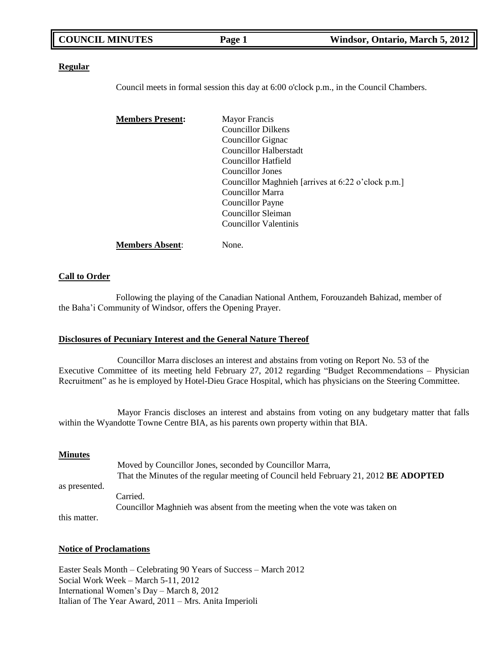| <b>COUNCIL MINUTES</b> | Page 1 | Windsor, Ontario, March 5, 2012 |
|------------------------|--------|---------------------------------|
|                        |        |                                 |

### **Regular**

Council meets in formal session this day at 6:00 o'clock p.m., in the Council Chambers.

| <b>Members Present:</b> | <b>Mayor Francis</b>                               |
|-------------------------|----------------------------------------------------|
|                         | <b>Councillor Dilkens</b>                          |
|                         | Councillor Gignac                                  |
|                         | Councillor Halberstadt                             |
|                         | Councillor Hatfield                                |
|                         | Councillor Jones                                   |
|                         | Councillor Maghnieh [arrives at 6:22 o'clock p.m.] |
|                         | Councillor Marra                                   |
|                         | Councillor Payne                                   |
|                         | Councillor Sleiman                                 |
|                         | Councillor Valentinis                              |
| <b>Members Absent:</b>  | None.                                              |

### **Call to Order**

Following the playing of the Canadian National Anthem, Forouzandeh Bahizad, member of the Baha'i Community of Windsor, offers the Opening Prayer.

### **Disclosures of Pecuniary Interest and the General Nature Thereof**

Councillor Marra discloses an interest and abstains from voting on Report No. 53 of the Executive Committee of its meeting held February 27, 2012 regarding "Budget Recommendations – Physician Recruitment" as he is employed by Hotel-Dieu Grace Hospital, which has physicians on the Steering Committee.

Mayor Francis discloses an interest and abstains from voting on any budgetary matter that falls within the Wyandotte Towne Centre BIA, as his parents own property within that BIA.

### **Minutes**

Moved by Councillor Jones, seconded by Councillor Marra, That the Minutes of the regular meeting of Council held February 21, 2012 **BE ADOPTED** as presented. Carried. Councillor Maghnieh was absent from the meeting when the vote was taken on this matter.

### **Notice of Proclamations**

Easter Seals Month – Celebrating 90 Years of Success – March 2012 Social Work Week – March 5-11, 2012 International Women's Day – March 8, 2012 Italian of The Year Award, 2011 – Mrs. Anita Imperioli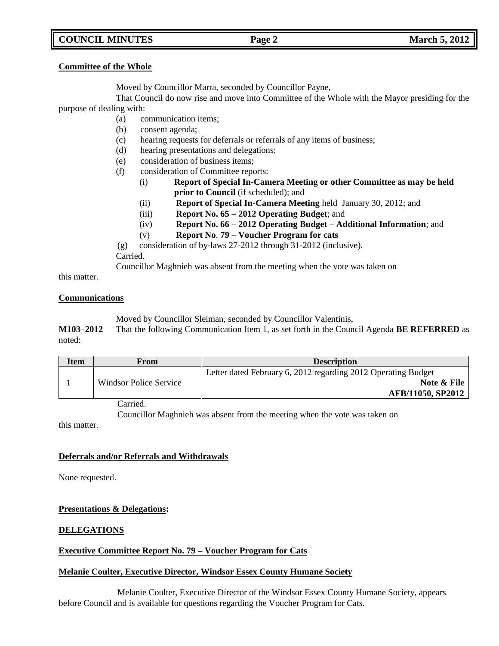## **COUNCIL MINUTES Page 2 March 5, 2012**

## **Committee of the Whole**

Moved by Councillor Marra, seconded by Councillor Payne,

That Council do now rise and move into Committee of the Whole with the Mayor presiding for the purpose of dealing with:

- (a) communication items;
- (b) consent agenda;
- (c) hearing requests for deferrals or referrals of any items of business;
- (d) hearing presentations and delegations;
- (e) consideration of business items;
- (f) consideration of Committee reports:
	- (i) **Report of Special In-Camera Meeting or other Committee as may be held prior to Council** (if scheduled); and
		- (ii) **Report of Special In-Camera Meeting** held January 30, 2012; and
	- (iii) **Report No. 65 – 2012 Operating Budget**; and
	- (iv) **Report No. 66 – 2012 Operating Budget – Additional Information**; and
	- (v) **Report No**. **79 – Voucher Program for cats**
- (g) consideration of by-laws 27-2012 through 31-2012 (inclusive).
- Carried.

Councillor Maghnieh was absent from the meeting when the vote was taken on

this matter.

## **Communications**

Moved by Councillor Sleiman, seconded by Councillor Valentinis,

**M103–2012** That the following Communication Item 1, as set forth in the Council Agenda **BE REFERRED** as noted:

| <b>Item</b> | From                   | <b>Description</b>                                            |
|-------------|------------------------|---------------------------------------------------------------|
|             |                        | Letter dated February 6, 2012 regarding 2012 Operating Budget |
|             | Windsor Police Service | Note & File                                                   |
|             |                        | AFB/11050, SP2012                                             |

Carried.

Councillor Maghnieh was absent from the meeting when the vote was taken on

this matter.

## **Deferrals and/or Referrals and Withdrawals**

None requested.

## **Presentations & Delegations:**

## **DELEGATIONS**

## **Executive Committee Report No. 79 – Voucher Program for Cats**

## **Melanie Coulter, Executive Director, Windsor Essex County Humane Society**

Melanie Coulter, Executive Director of the Windsor Essex County Humane Society, appears before Council and is available for questions regarding the Voucher Program for Cats.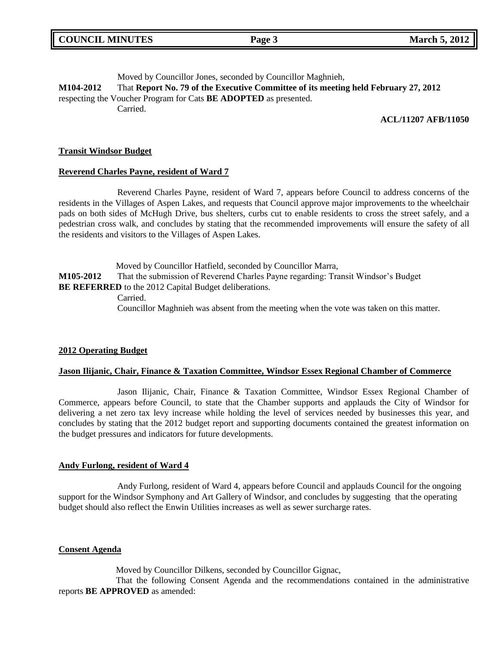Moved by Councillor Jones, seconded by Councillor Maghnieh, **M104-2012** That **Report No. 79 of the Executive Committee of its meeting held February 27, 2012** respecting the Voucher Program for Cats **BE ADOPTED** as presented. Carried.

## **ACL/11207 AFB/11050**

## **Transit Windsor Budget**

### **Reverend Charles Payne, resident of Ward 7**

Reverend Charles Payne, resident of Ward 7, appears before Council to address concerns of the residents in the Villages of Aspen Lakes, and requests that Council approve major improvements to the wheelchair pads on both sides of McHugh Drive, bus shelters, curbs cut to enable residents to cross the street safely, and a pedestrian cross walk, and concludes by stating that the recommended improvements will ensure the safety of all the residents and visitors to the Villages of Aspen Lakes.

Moved by Councillor Hatfield, seconded by Councillor Marra, **M105-2012** That the submission of Reverend Charles Payne regarding: Transit Windsor's Budget **BE REFERRED** to the 2012 Capital Budget deliberations. Carried.

Councillor Maghnieh was absent from the meeting when the vote was taken on this matter.

## **2012 Operating Budget**

### **Jason Ilijanic, Chair, Finance & Taxation Committee, Windsor Essex Regional Chamber of Commerce**

Jason Ilijanic, Chair, Finance & Taxation Committee, Windsor Essex Regional Chamber of Commerce, appears before Council, to state that the Chamber supports and applauds the City of Windsor for delivering a net zero tax levy increase while holding the level of services needed by businesses this year, and concludes by stating that the 2012 budget report and supporting documents contained the greatest information on the budget pressures and indicators for future developments.

### **Andy Furlong, resident of Ward 4**

Andy Furlong, resident of Ward 4, appears before Council and applauds Council for the ongoing support for the Windsor Symphony and Art Gallery of Windsor, and concludes by suggesting that the operating budget should also reflect the Enwin Utilities increases as well as sewer surcharge rates.

### **Consent Agenda**

Moved by Councillor Dilkens, seconded by Councillor Gignac,

That the following Consent Agenda and the recommendations contained in the administrative reports **BE APPROVED** as amended: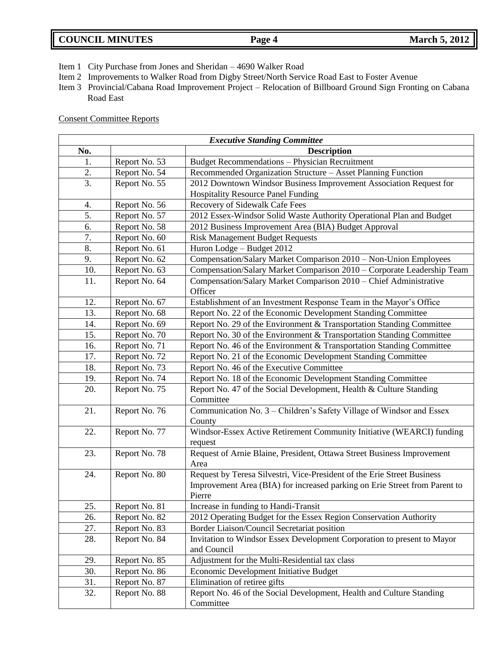- Item 1 City Purchase from Jones and Sheridan 4690 Walker Road
- Item 2 Improvements to Walker Road from Digby Street/North Service Road East to Foster Avenue
- Item 3 Provincial/Cabana Road Improvement Project Relocation of Billboard Ground Sign Fronting on Cabana Road East

## Consent Committee Reports

| <b>Executive Standing Committee</b> |               |                                                                            |  |
|-------------------------------------|---------------|----------------------------------------------------------------------------|--|
| No.                                 |               | <b>Description</b>                                                         |  |
| 1.                                  | Report No. 53 | <b>Budget Recommendations - Physician Recruitment</b>                      |  |
| 2.                                  | Report No. 54 | Recommended Organization Structure - Asset Planning Function               |  |
| 3.                                  | Report No. 55 | 2012 Downtown Windsor Business Improvement Association Request for         |  |
|                                     |               | <b>Hospitality Resource Panel Funding</b>                                  |  |
| 4.                                  | Report No. 56 | Recovery of Sidewalk Cafe Fees                                             |  |
| 5.                                  | Report No. 57 | 2012 Essex-Windsor Solid Waste Authority Operational Plan and Budget       |  |
| 6.                                  | Report No. 58 | 2012 Business Improvement Area (BIA) Budget Approval                       |  |
| 7.                                  | Report No. 60 | <b>Risk Management Budget Requests</b>                                     |  |
| 8.                                  | Report No. 61 | Huron Lodge - Budget 2012                                                  |  |
| 9.                                  | Report No. 62 | Compensation/Salary Market Comparison 2010 - Non-Union Employees           |  |
| 10.                                 | Report No. 63 | Compensation/Salary Market Comparison 2010 - Corporate Leadership Team     |  |
| 11.                                 | Report No. 64 | Compensation/Salary Market Comparison 2010 - Chief Administrative          |  |
|                                     |               | Officer                                                                    |  |
| 12.                                 | Report No. 67 | Establishment of an Investment Response Team in the Mayor's Office         |  |
| 13.                                 | Report No. 68 | Report No. 22 of the Economic Development Standing Committee               |  |
| 14.                                 | Report No. 69 | Report No. 29 of the Environment & Transportation Standing Committee       |  |
| 15.                                 | Report No. 70 | Report No. 30 of the Environment & Transportation Standing Committee       |  |
| 16.                                 | Report No. 71 | Report No. 46 of the Environment & Transportation Standing Committee       |  |
| 17.                                 | Report No. 72 | Report No. 21 of the Economic Development Standing Committee               |  |
| 18.                                 | Report No. 73 | Report No. 46 of the Executive Committee                                   |  |
| 19.                                 | Report No. 74 | Report No. 18 of the Economic Development Standing Committee               |  |
| 20.                                 | Report No. 75 | Report No. 47 of the Social Development, Health & Culture Standing         |  |
|                                     |               | Committee                                                                  |  |
| 21.                                 | Report No. 76 | Communication No. 3 - Children's Safety Village of Windsor and Essex       |  |
|                                     |               | County                                                                     |  |
| 22.                                 | Report No. 77 | Windsor-Essex Active Retirement Community Initiative (WEARCI) funding      |  |
|                                     |               | request                                                                    |  |
| 23.                                 | Report No. 78 | Request of Arnie Blaine, President, Ottawa Street Business Improvement     |  |
|                                     |               | Area                                                                       |  |
| 24.                                 | Report No. 80 | Request by Teresa Silvestri, Vice-President of the Erie Street Business    |  |
|                                     |               | Improvement Area (BIA) for increased parking on Erie Street from Parent to |  |
|                                     |               | Pierre                                                                     |  |
| 25.                                 | Report No. 81 | Increase in funding to Handi-Transit                                       |  |
| 26.                                 | Report No. 82 | 2012 Operating Budget for the Essex Region Conservation Authority          |  |
| 27.                                 | Report No. 83 | Border Liaison/Council Secretariat position                                |  |
| 28.                                 | Report No. 84 | Invitation to Windsor Essex Development Corporation to present to Mayor    |  |
|                                     |               | and Council                                                                |  |
| 29.                                 | Report No. 85 | Adjustment for the Multi-Residential tax class                             |  |
| 30.                                 | Report No. 86 | Economic Development Initiative Budget                                     |  |
| 31.                                 | Report No. 87 | Elimination of retiree gifts                                               |  |
| 32.                                 | Report No. 88 | Report No. 46 of the Social Development, Health and Culture Standing       |  |
|                                     |               | Committee                                                                  |  |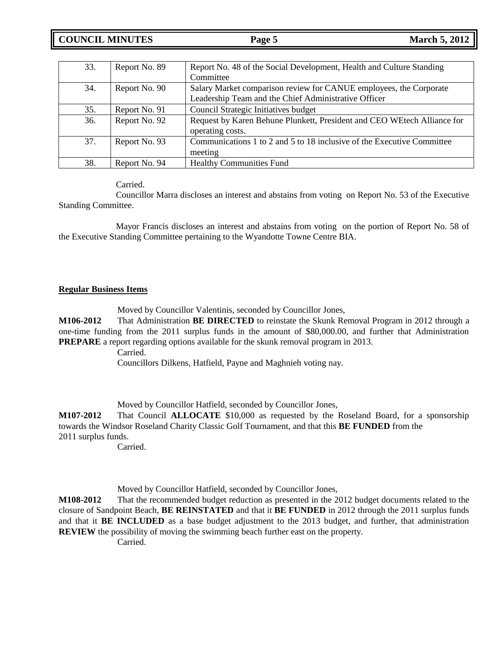# **COUNCIL MINUTES Page 5 March 5, 2012**

| 33. | Report No. 89 | Report No. 48 of the Social Development, Health and Culture Standing    |
|-----|---------------|-------------------------------------------------------------------------|
|     |               | Committee                                                               |
| 34. | Report No. 90 | Salary Market comparison review for CANUE employees, the Corporate      |
|     |               | Leadership Team and the Chief Administrative Officer                    |
| 35. | Report No. 91 | Council Strategic Initiatives budget                                    |
| 36. | Report No. 92 | Request by Karen Behune Plunkett, President and CEO WEtech Alliance for |
|     |               | operating costs.                                                        |
| 37. | Report No. 93 | Communications 1 to 2 and 5 to 18 inclusive of the Executive Committee  |
|     |               | meeting                                                                 |
| 38. | Report No. 94 | <b>Healthy Communities Fund</b>                                         |

Carried.

Councillor Marra discloses an interest and abstains from voting on Report No. 53 of the Executive Standing Committee.

Mayor Francis discloses an interest and abstains from voting on the portion of Report No. 58 of the Executive Standing Committee pertaining to the Wyandotte Towne Centre BIA.

## **Regular Business Items**

Moved by Councillor Valentinis, seconded by Councillor Jones,

**M106-2012** That Administration **BE DIRECTED** to reinstate the Skunk Removal Program in 2012 through a one-time funding from the 2011 surplus funds in the amount of \$80,000.00, and further that Administration **PREPARE** a report regarding options available for the skunk removal program in 2013.

Carried.

Councillors Dilkens, Hatfield, Payne and Maghnieh voting nay.

Moved by Councillor Hatfield, seconded by Councillor Jones,

**M107-2012** That Council **ALLOCATE** \$10,000 as requested by the Roseland Board, for a sponsorship towards the Windsor Roseland Charity Classic Golf Tournament, and that this **BE FUNDED** from the 2011 surplus funds.

Carried.

Moved by Councillor Hatfield, seconded by Councillor Jones,

**M108-2012** That the recommended budget reduction as presented in the 2012 budget documents related to the closure of Sandpoint Beach, **BE REINSTATED** and that it **BE FUNDED** in 2012 through the 2011 surplus funds and that it **BE INCLUDED** as a base budget adjustment to the 2013 budget, and further, that administration **REVIEW** the possibility of moving the swimming beach further east on the property.

Carried.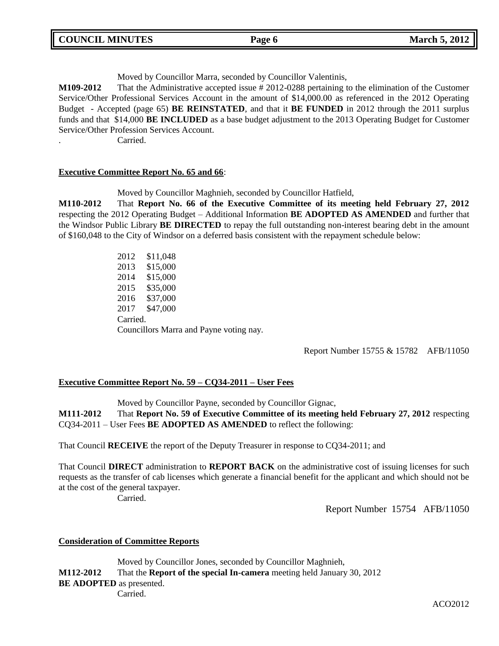| <b>COUNCIL MINUTES</b> | Page 6 | <b>March 5, 2012</b> |
|------------------------|--------|----------------------|
|                        |        |                      |

Moved by Councillor Marra, seconded by Councillor Valentinis,

**M109-2012** That the Administrative accepted issue # 2012-0288 pertaining to the elimination of the Customer Service/Other Professional Services Account in the amount of \$14,000.00 as referenced in the 2012 Operating Budget - Accepted (page 65) **BE REINSTATED**, and that it **BE FUNDED** in 2012 through the 2011 surplus funds and that \$14,000 **BE INCLUDED** as a base budget adjustment to the 2013 Operating Budget for Customer Service/Other Profession Services Account.

. Carried.

## **Executive Committee Report No. 65 and 66**:

Moved by Councillor Maghnieh, seconded by Councillor Hatfield,

**M110-2012** That **Report No. 66 of the Executive Committee of its meeting held February 27, 2012** respecting the 2012 Operating Budget – Additional Information **BE ADOPTED AS AMENDED** and further that the Windsor Public Library **BE DIRECTED** to repay the full outstanding non-interest bearing debt in the amount of \$160,048 to the City of Windsor on a deferred basis consistent with the repayment schedule below:

> 2012 \$11,048 2013 \$15,000 2014 \$15,000 2015 \$35,000 2016 \$37,000 2017 \$47,000 Carried. Councillors Marra and Payne voting nay.

> > Report Number 15755 & 15782 AFB/11050

## **Executive Committee Report No. 59 – CQ34-2011 – User Fees**

Moved by Councillor Payne, seconded by Councillor Gignac, **M111-2012** That **Report No. 59 of Executive Committee of its meeting held February 27, 2012** respecting CQ34-2011 – User Fees **BE ADOPTED AS AMENDED** to reflect the following:

That Council **RECEIVE** the report of the Deputy Treasurer in response to CQ34-2011; and

That Council **DIRECT** administration to **REPORT BACK** on the administrative cost of issuing licenses for such requests as the transfer of cab licenses which generate a financial benefit for the applicant and which should not be at the cost of the general taxpayer.

Carried.

Report Number 15754 AFB/11050

### **Consideration of Committee Reports**

Moved by Councillor Jones, seconded by Councillor Maghnieh, **M112-2012** That the **Report of the special In-camera** meeting held January 30, 2012 **BE ADOPTED** as presented. Carried.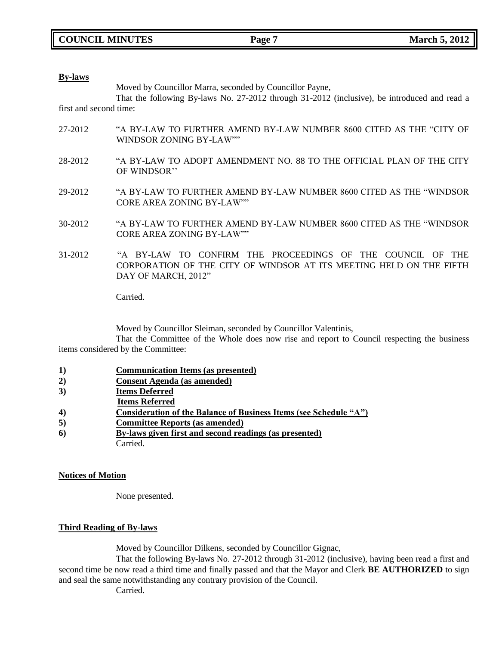### **By-laws**

Moved by Councillor Marra, seconded by Councillor Payne,

That the following By-laws No. 27-2012 through 31-2012 (inclusive), be introduced and read a first and second time:

- 27-2012 "A BY-LAW TO FURTHER AMEND BY-LAW NUMBER 8600 CITED AS THE "CITY OF WINDSOR ZONING BY-LAW""
- 28-2012 "A BY-LAW TO ADOPT AMENDMENT NO. 88 TO THE OFFICIAL PLAN OF THE CITY OF WINDSOR''
- 29-2012 "A BY-LAW TO FURTHER AMEND BY-LAW NUMBER 8600 CITED AS THE "WINDSOR CORE AREA ZONING BY-LAW""
- 30-2012 "A BY-LAW TO FURTHER AMEND BY-LAW NUMBER 8600 CITED AS THE "WINDSOR CORE AREA ZONING BY-LAW""
- 31-2012 "A BY-LAW TO CONFIRM THE PROCEEDINGS OF THE COUNCIL OF THE CORPORATION OF THE CITY OF WINDSOR AT ITS MEETING HELD ON THE FIFTH DAY OF MARCH, 2012"

Carried.

Moved by Councillor Sleiman, seconded by Councillor Valentinis,

That the Committee of the Whole does now rise and report to Council respecting the business items considered by the Committee:

- **1) Communication Items (as presented)**
- **2) Consent Agenda (as amended)**
- **3) Items Deferred**
- **Items Referred**
- **4) Consideration of the Balance of Business Items (see Schedule "A")**
- **5) Committee Reports (as amended)**
- **6) By-laws given first and second readings (as presented)** Carried.

### **Notices of Motion**

None presented.

## **Third Reading of By-laws**

Moved by Councillor Dilkens, seconded by Councillor Gignac,

That the following By-laws No. 27-2012 through 31-2012 (inclusive), having been read a first and second time be now read a third time and finally passed and that the Mayor and Clerk **BE AUTHORIZED** to sign and seal the same notwithstanding any contrary provision of the Council.

Carried.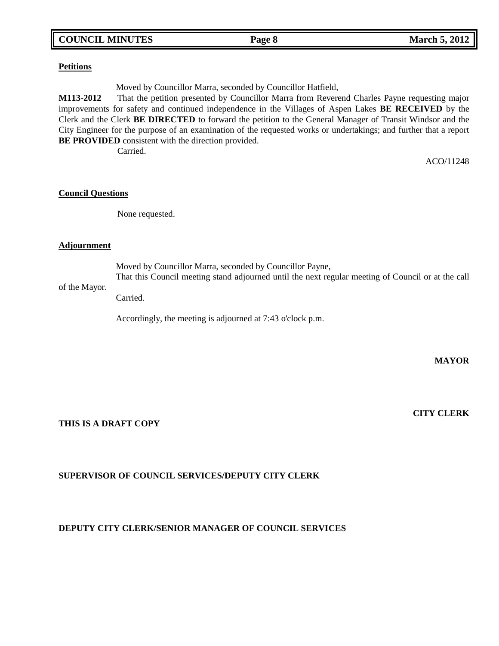## **COUNCIL MINUTES Page 8 March 5, 2012**

## **Petitions**

Moved by Councillor Marra, seconded by Councillor Hatfield,

**M113-2012** That the petition presented by Councillor Marra from Reverend Charles Payne requesting major improvements for safety and continued independence in the Villages of Aspen Lakes **BE RECEIVED** by the Clerk and the Clerk **BE DIRECTED** to forward the petition to the General Manager of Transit Windsor and the City Engineer for the purpose of an examination of the requested works or undertakings; and further that a report **BE PROVIDED** consistent with the direction provided.

Carried.

ACO/11248

## **Council Questions**

None requested.

## **Adjournment**

Moved by Councillor Marra, seconded by Councillor Payne, That this Council meeting stand adjourned until the next regular meeting of Council or at the call

## of the Mayor.

Carried.

Accordingly, the meeting is adjourned at 7:43 o'clock p.m.

**MAYOR**

**THIS IS A DRAFT COPY**

# **CITY CLERK**

## **SUPERVISOR OF COUNCIL SERVICES/DEPUTY CITY CLERK**

## **DEPUTY CITY CLERK/SENIOR MANAGER OF COUNCIL SERVICES**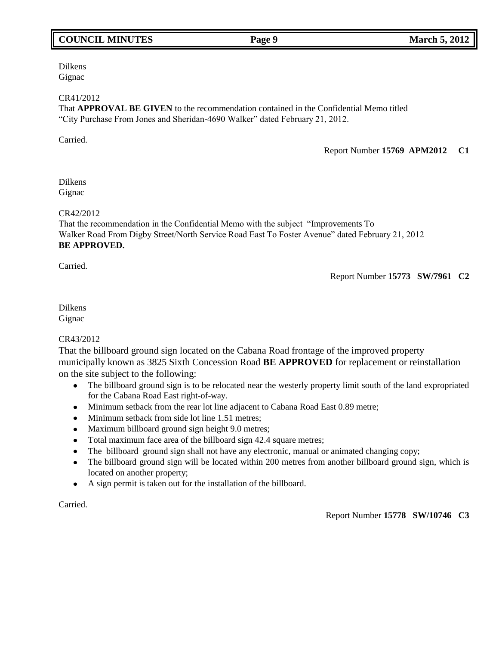# **COUNCIL MINUTES Page 9 March 5, 2012**

### Dilkens Gignac

## CR41/2012

That **APPROVAL BE GIVEN** to the recommendation contained in the Confidential Memo titled "City Purchase From Jones and Sheridan-4690 Walker" dated February 21, 2012.

Carried.

Report Number **15769 APM2012 C1**

## Dilkens Gignac

## CR42/2012

That the recommendation in the Confidential Memo with the subject "Improvements To Walker Road From Digby Street/North Service Road East To Foster Avenue" dated February 21, 2012 **BE APPROVED.**

Carried.

Report Number **15773 SW/7961 C2**

## Dilkens Gignac

## CR43/2012

That the billboard ground sign located on the Cabana Road frontage of the improved property municipally known as 3825 Sixth Concession Road **BE APPROVED** for replacement or reinstallation on the site subject to the following:

- The billboard ground sign is to be relocated near the westerly property limit south of the land expropriated  $\bullet$ for the Cabana Road East right-of-way.
- Minimum setback from the rear lot line adjacent to Cabana Road East 0.89 metre;
- Minimum setback from side lot line 1.51 metres;
- Maximum billboard ground sign height 9.0 metres;
- Total maximum face area of the billboard sign 42.4 square metres;  $\bullet$
- The billboard ground sign shall not have any electronic, manual or animated changing copy;  $\bullet$
- The billboard ground sign will be located within 200 metres from another billboard ground sign, which is  $\bullet$ located on another property;
- $\bullet$ A sign permit is taken out for the installation of the billboard.

Carried.

## Report Number **15778 SW/10746 C3**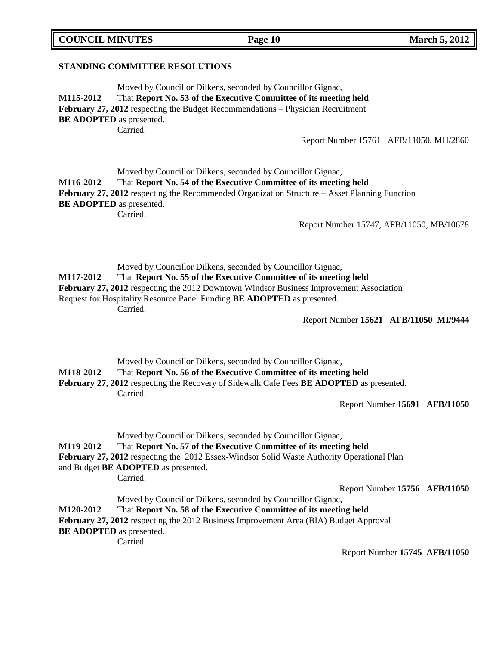**STANDING COMMITTEE RESOLUTIONS**

Moved by Councillor Dilkens, seconded by Councillor Gignac, **M115-2012** That **Report No. 53 of the Executive Committee of its meeting held February 27, 2012** respecting the Budget Recommendations – Physician Recruitment **BE ADOPTED** as presented. Carried.

Report Number 15761 AFB/11050, MH/2860

|                  | Moved by Councillor Dilkens, seconded by Councillor Gignac,                                            |
|------------------|--------------------------------------------------------------------------------------------------------|
| <b>M116-2012</b> | That Report No. 54 of the Executive Committee of its meeting held                                      |
|                  | <b>February 27, 2012</b> respecting the Recommended Organization Structure $-$ Asset Planning Function |
|                  | <b>BE ADOPTED</b> as presented.                                                                        |
|                  | Carried.                                                                                               |

Report Number 15747, AFB/11050, MB/10678

Moved by Councillor Dilkens, seconded by Councillor Gignac, **M117-2012** That **Report No. 55 of the Executive Committee of its meeting held February 27, 2012** respecting the 2012 Downtown Windsor Business Improvement Association Request for Hospitality Resource Panel Funding **BE ADOPTED** as presented. Carried.

Report Number **15621 AFB/11050 MI/9444**

Moved by Councillor Dilkens, seconded by Councillor Gignac,

**M118-2012** That **Report No. 56 of the Executive Committee of its meeting held** 

**February 27, 2012** respecting the Recovery of Sidewalk Cafe Fees **BE ADOPTED** as presented. Carried.

Report Number **15691 AFB/11050**

|                                 | Moved by Councillor Dilkens, seconded by Councillor Gignac,                                       |                               |  |
|---------------------------------|---------------------------------------------------------------------------------------------------|-------------------------------|--|
| <b>M119-2012</b>                | That Report No. 57 of the Executive Committee of its meeting held                                 |                               |  |
|                                 | <b>February 27, 2012</b> respecting the 2012 Essex-Windsor Solid Waste Authority Operational Plan |                               |  |
|                                 | and Budget <b>BE ADOPTED</b> as presented.                                                        |                               |  |
|                                 | Carried.                                                                                          |                               |  |
|                                 |                                                                                                   | Report Number 15756 AFB/11050 |  |
|                                 | Moved by Councillor Dilkens, seconded by Councillor Gignac,                                       |                               |  |
| <b>M120-2012</b>                | That Report No. 58 of the Executive Committee of its meeting held                                 |                               |  |
|                                 | February 27, 2012 respecting the 2012 Business Improvement Area (BIA) Budget Approval             |                               |  |
| <b>BE ADOPTED</b> as presented. |                                                                                                   |                               |  |
|                                 | Carried.                                                                                          |                               |  |
|                                 |                                                                                                   | Report Number 15745 AFB/11050 |  |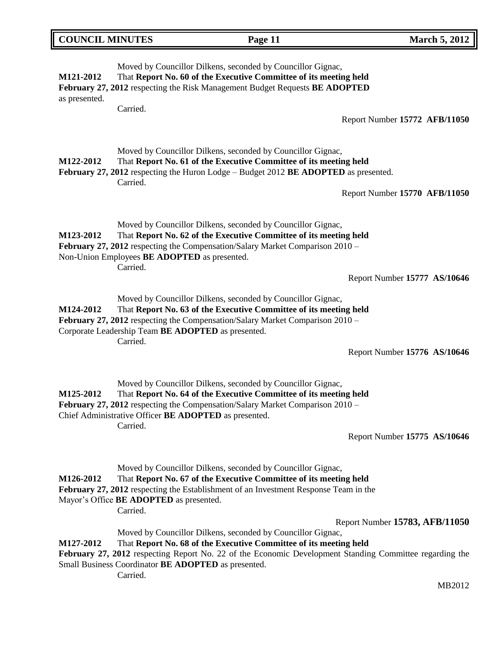| <b>COUNCIL MINUTES</b>     |                                                          | Page 11                                                                                                                                                                                                                                                                                            | <b>March 5, 2012</b>           |
|----------------------------|----------------------------------------------------------|----------------------------------------------------------------------------------------------------------------------------------------------------------------------------------------------------------------------------------------------------------------------------------------------------|--------------------------------|
| M121-2012<br>as presented. |                                                          | Moved by Councillor Dilkens, seconded by Councillor Gignac,<br>That Report No. 60 of the Executive Committee of its meeting held<br>February 27, 2012 respecting the Risk Management Budget Requests BE ADOPTED                                                                                    |                                |
|                            | Carried.                                                 |                                                                                                                                                                                                                                                                                                    | Report Number 15772 AFB/11050  |
| M122-2012                  | Carried.                                                 | Moved by Councillor Dilkens, seconded by Councillor Gignac,<br>That Report No. 61 of the Executive Committee of its meeting held<br>February 27, 2012 respecting the Huron Lodge – Budget 2012 BE ADOPTED as presented.                                                                            | Report Number 15770 AFB/11050  |
|                            |                                                          |                                                                                                                                                                                                                                                                                                    |                                |
| M123-2012                  | Non-Union Employees BE ADOPTED as presented.<br>Carried. | Moved by Councillor Dilkens, seconded by Councillor Gignac,<br>That Report No. 62 of the Executive Committee of its meeting held<br>February 27, 2012 respecting the Compensation/Salary Market Comparison 2010 -                                                                                  |                                |
|                            |                                                          |                                                                                                                                                                                                                                                                                                    | Report Number 15777 AS/10646   |
| M124-2012                  | Carried.                                                 | Moved by Councillor Dilkens, seconded by Councillor Gignac,<br>That Report No. 63 of the Executive Committee of its meeting held<br>February 27, 2012 respecting the Compensation/Salary Market Comparison 2010 -<br>Corporate Leadership Team BE ADOPTED as presented.                            |                                |
|                            |                                                          |                                                                                                                                                                                                                                                                                                    | Report Number 15776 AS/10646   |
| M125-2012                  | Carried.                                                 | Moved by Councillor Dilkens, seconded by Councillor Gignac,<br>That Report No. 64 of the Executive Committee of its meeting held<br>February 27, 2012 respecting the Compensation/Salary Market Comparison 2010 -<br>Chief Administrative Officer BE ADOPTED as presented.                         |                                |
|                            |                                                          |                                                                                                                                                                                                                                                                                                    | Report Number 15775 AS/10646   |
| M126-2012                  | Mayor's Office BE ADOPTED as presented.<br>Carried.      | Moved by Councillor Dilkens, seconded by Councillor Gignac,<br>That Report No. 67 of the Executive Committee of its meeting held<br>February 27, 2012 respecting the Establishment of an Investment Response Team in the                                                                           |                                |
|                            |                                                          |                                                                                                                                                                                                                                                                                                    | Report Number 15783, AFB/11050 |
| M127-2012                  | Carried.                                                 | Moved by Councillor Dilkens, seconded by Councillor Gignac,<br>That Report No. 68 of the Executive Committee of its meeting held<br>February 27, 2012 respecting Report No. 22 of the Economic Development Standing Committee regarding the<br>Small Business Coordinator BE ADOPTED as presented. |                                |

MB2012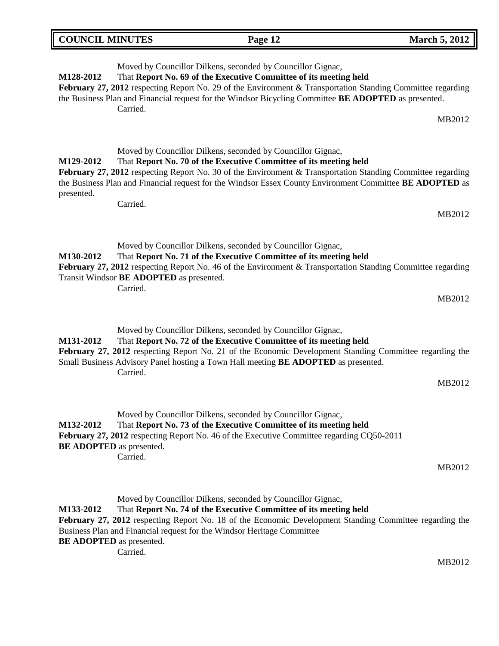| <b>COUNCIL MINUTES</b>  | Page 12                                                                                                                                                                                                                                                                                                                                                                 | <b>March 5, 2012</b> |
|-------------------------|-------------------------------------------------------------------------------------------------------------------------------------------------------------------------------------------------------------------------------------------------------------------------------------------------------------------------------------------------------------------------|----------------------|
| M128-2012               | Moved by Councillor Dilkens, seconded by Councillor Gignac,<br>That Report No. 69 of the Executive Committee of its meeting held<br>February 27, 2012 respecting Report No. 29 of the Environment & Transportation Standing Committee regarding<br>the Business Plan and Financial request for the Windsor Bicycling Committee BE ADOPTED as presented.<br>Carried.     | MB2012               |
| M129-2012<br>presented. | Moved by Councillor Dilkens, seconded by Councillor Gignac,<br>That Report No. 70 of the Executive Committee of its meeting held<br>February 27, 2012 respecting Report No. 30 of the Environment & Transportation Standing Committee regarding<br>the Business Plan and Financial request for the Windsor Essex County Environment Committee BE ADOPTED as<br>Carried. | MB2012               |
| M130-2012               | Moved by Councillor Dilkens, seconded by Councillor Gignac,<br>That Report No. 71 of the Executive Committee of its meeting held<br><b>February 27, 2012</b> respecting Report No. 46 of the Environment & Transportation Standing Committee regarding<br>Transit Windsor BE ADOPTED as presented.<br>Carried.                                                          | MB2012               |
| M131-2012               | Moved by Councillor Dilkens, seconded by Councillor Gignac,<br>That Report No. 72 of the Executive Committee of its meeting held<br>February 27, 2012 respecting Report No. 21 of the Economic Development Standing Committee regarding the<br>Small Business Advisory Panel hosting a Town Hall meeting <b>BE ADOPTED</b> as presented.<br>Carried.                    | MB2012               |
| M132-2012               | Moved by Councillor Dilkens, seconded by Councillor Gignac,<br>That Report No. 73 of the Executive Committee of its meeting held<br>February 27, 2012 respecting Report No. 46 of the Executive Committee regarding CQ50-2011                                                                                                                                           |                      |

**BE ADOPTED** as presented.

Carried.

MB2012

Moved by Councillor Dilkens, seconded by Councillor Gignac, **M133-2012** That **Report No. 74 of the Executive Committee of its meeting held February 27, 2012** respecting Report No. 18 of the Economic Development Standing Committee regarding the Business Plan and Financial request for the Windsor Heritage Committee **BE ADOPTED** as presented. Carried.

MB2012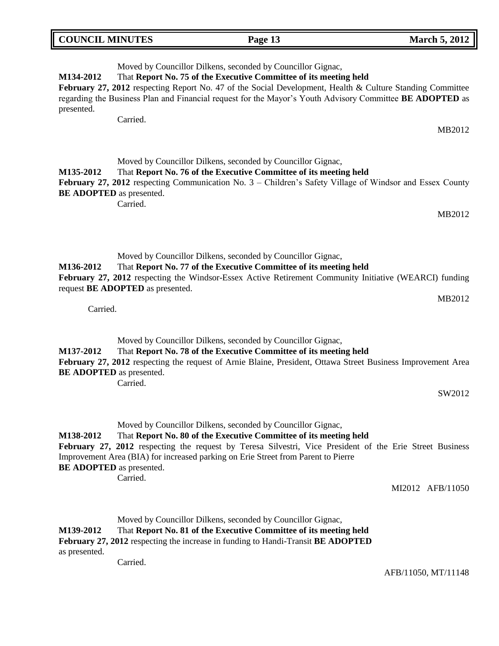| <b>COUNCIL MINUTES</b> | Page 13                                                           | <b>March 5, 2012</b> |
|------------------------|-------------------------------------------------------------------|----------------------|
|                        | Moved by Councillor Dilkens, seconded by Councillor Gignac,       |                      |
| <b>M134-2012</b>       | That Report No. 75 of the Executive Committee of its meeting held |                      |

**February 27, 2012** respecting Report No. 47 of the Social Development, Health & Culture Standing Committee regarding the Business Plan and Financial request for the Mayor's Youth Advisory Committee **BE ADOPTED** as presented.

Carried.

## Moved by Councillor Dilkens, seconded by Councillor Gignac, **M135-2012** That **Report No. 76 of the Executive Committee of its meeting held**  February 27, 2012 respecting Communication No. 3 – Children's Safety Village of Windsor and Essex County **BE ADOPTED** as presented. Carried.

Moved by Councillor Dilkens, seconded by Councillor Gignac, **M136-2012** That **Report No. 77 of the Executive Committee of its meeting held February 27, 2012** respecting the Windsor-Essex Active Retirement Community Initiative (WEARCI) funding request **BE ADOPTED** as presented.

Carried.

Moved by Councillor Dilkens, seconded by Councillor Gignac,

## **M137-2012** That **Report No. 78 of the Executive Committee of its meeting held**

**February 27, 2012** respecting the request of Arnie Blaine, President, Ottawa Street Business Improvement Area **BE ADOPTED** as presented.

Carried.

Moved by Councillor Dilkens, seconded by Councillor Gignac, **M138-2012** That **Report No. 80 of the Executive Committee of its meeting held February 27, 2012** respecting the request by Teresa Silvestri, Vice President of the Erie Street Business Improvement Area (BIA) for increased parking on Erie Street from Parent to Pierre **BE ADOPTED** as presented. Carried.

MI2012 AFB/11050

MB2012

MB2012

MB2012

SW2012

Moved by Councillor Dilkens, seconded by Councillor Gignac, **M139-2012** That **Report No. 81 of the Executive Committee of its meeting held February 27, 2012** respecting the increase in funding to Handi-Transit **BE ADOPTED** as presented. Carried.

AFB/11050, MT/11148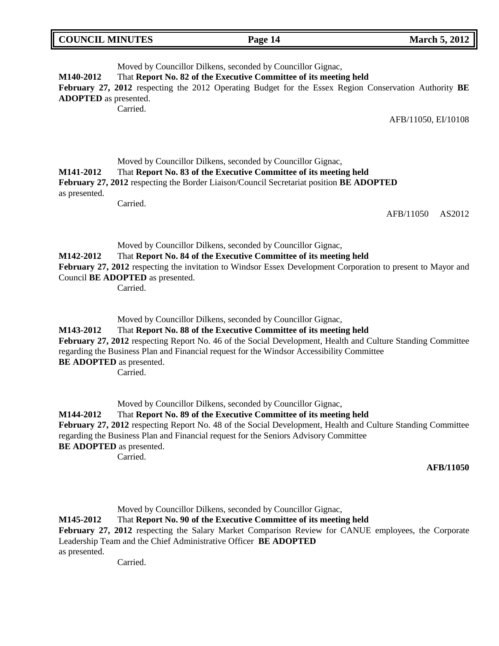|  | <b>COUNCIL MINUTES</b> |
|--|------------------------|
|--|------------------------|

**Page 14 March 5, 2012** 

| M140-2012<br><b>ADOPTED</b> as presented.                                                                                                                                                                                                                                                                                                                                                                | Moved by Councillor Dilkens, seconded by Councillor Gignac,<br>That Report No. 82 of the Executive Committee of its meeting held<br>February 27, 2012 respecting the 2012 Operating Budget for the Essex Region Conservation Authority BE<br>Carried.<br>AFB/11050, EI/10108                     |  |
|----------------------------------------------------------------------------------------------------------------------------------------------------------------------------------------------------------------------------------------------------------------------------------------------------------------------------------------------------------------------------------------------------------|--------------------------------------------------------------------------------------------------------------------------------------------------------------------------------------------------------------------------------------------------------------------------------------------------|--|
| M141-2012<br>as presented.                                                                                                                                                                                                                                                                                                                                                                               | Moved by Councillor Dilkens, seconded by Councillor Gignac,<br>That Report No. 83 of the Executive Committee of its meeting held<br>February 27, 2012 respecting the Border Liaison/Council Secretariat position BE ADOPTED<br>Carried.<br>AFB/11050<br>AS2012                                   |  |
| M142-2012                                                                                                                                                                                                                                                                                                                                                                                                | Moved by Councillor Dilkens, seconded by Councillor Gignac,<br>That Report No. 84 of the Executive Committee of its meeting held<br>February 27, 2012 respecting the invitation to Windsor Essex Development Corporation to present to Mayor and<br>Council BE ADOPTED as presented.<br>Carried. |  |
| Moved by Councillor Dilkens, seconded by Councillor Gignac,<br>That Report No. 88 of the Executive Committee of its meeting held<br>M143-2012<br>February 27, 2012 respecting Report No. 46 of the Social Development, Health and Culture Standing Committee<br>regarding the Business Plan and Financial request for the Windsor Accessibility Committee<br><b>BE ADOPTED</b> as presented.<br>Carried. |                                                                                                                                                                                                                                                                                                  |  |

Moved by Councillor Dilkens, seconded by Councillor Gignac, **M144-2012** That **Report No. 89 of the Executive Committee of its meeting held February 27, 2012** respecting Report No. 48 of the Social Development, Health and Culture Standing Committee regarding the Business Plan and Financial request for the Seniors Advisory Committee **BE ADOPTED** as presented.

Carried.

## **AFB/11050**

Moved by Councillor Dilkens, seconded by Councillor Gignac,

**M145-2012** That **Report No. 90 of the Executive Committee of its meeting held** 

February 27, 2012 respecting the Salary Market Comparison Review for CANUE employees, the Corporate Leadership Team and the Chief Administrative Officer **BE ADOPTED** as presented.

Carried.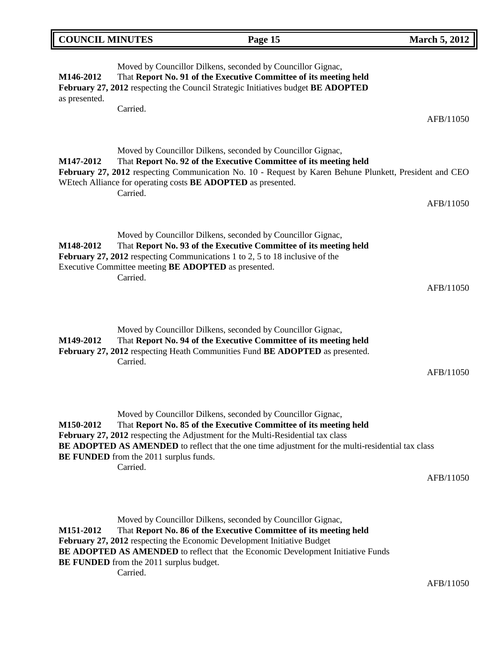|                            | <b>DUNCIL MINUTES</b>                                     | Page 15                                                                                                                                                                                                                                                                                                                         | <b>March 5, 2012</b> |
|----------------------------|-----------------------------------------------------------|---------------------------------------------------------------------------------------------------------------------------------------------------------------------------------------------------------------------------------------------------------------------------------------------------------------------------------|----------------------|
| M146-2012<br>as presented. | Carried.                                                  | Moved by Councillor Dilkens, seconded by Councillor Gignac,<br>That Report No. 91 of the Executive Committee of its meeting held<br>February 27, 2012 respecting the Council Strategic Initiatives budget BE ADOPTED                                                                                                            |                      |
|                            |                                                           |                                                                                                                                                                                                                                                                                                                                 | AFB/11050            |
| M147-2012                  | Carried.                                                  | Moved by Councillor Dilkens, seconded by Councillor Gignac,<br>That Report No. 92 of the Executive Committee of its meeting held<br>February 27, 2012 respecting Communication No. 10 - Request by Karen Behune Plunkett, President and CEO<br>WEtech Alliance for operating costs BE ADOPTED as presented.                     |                      |
|                            |                                                           |                                                                                                                                                                                                                                                                                                                                 | AFB/11050            |
| M148-2012                  | Carried.                                                  | Moved by Councillor Dilkens, seconded by Councillor Gignac,<br>That Report No. 93 of the Executive Committee of its meeting held<br>February 27, 2012 respecting Communications 1 to 2, 5 to 18 inclusive of the<br>Executive Committee meeting BE ADOPTED as presented.                                                        |                      |
|                            |                                                           |                                                                                                                                                                                                                                                                                                                                 | AFB/11050            |
| M149-2012                  | Carried.                                                  | Moved by Councillor Dilkens, seconded by Councillor Gignac,<br>That Report No. 94 of the Executive Committee of its meeting held<br>February 27, 2012 respecting Heath Communities Fund BE ADOPTED as presented.                                                                                                                |                      |
|                            |                                                           |                                                                                                                                                                                                                                                                                                                                 | AFB/11050            |
| M150-2012                  | <b>BE FUNDED</b> from the 2011 surplus funds.<br>Carried. | Moved by Councillor Dilkens, seconded by Councillor Gignac,<br>That Report No. 85 of the Executive Committee of its meeting held<br>February 27, 2012 respecting the Adjustment for the Multi-Residential tax class<br><b>BE ADOPTED AS AMENDED</b> to reflect that the one time adjustment for the multi-residential tax class | AFB/11050            |
|                            |                                                           |                                                                                                                                                                                                                                                                                                                                 |                      |
|                            |                                                           |                                                                                                                                                                                                                                                                                                                                 |                      |

Moved by Councillor Dilkens, seconded by Councillor Gignac, **M151-2012** That **Report No. 86 of the Executive Committee of its meeting held February 27, 2012** respecting the Economic Development Initiative Budget **BE ADOPTED AS AMENDED** to reflect that the Economic Development Initiative Funds **BE FUNDED** from the 2011 surplus budget. Carried.

AFB/11050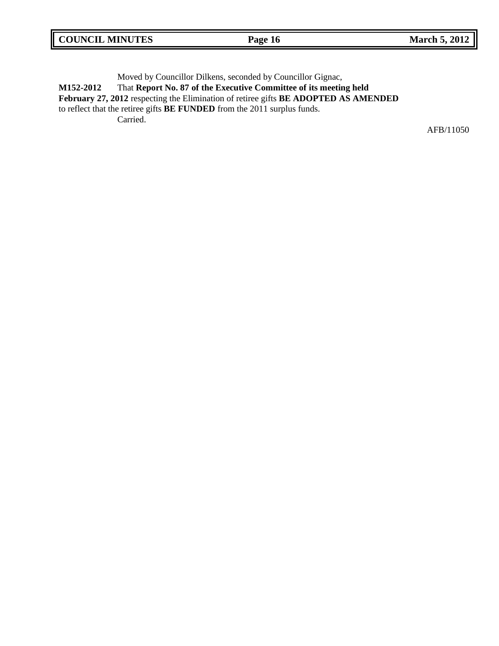| <b>COUNCIL MINUTES</b> | Page 16 | <b>March 5, 2012</b> |
|------------------------|---------|----------------------|
|------------------------|---------|----------------------|

Moved by Councillor Dilkens, seconded by Councillor Gignac, **M152-2012** That **Report No. 87 of the Executive Committee of its meeting held February 27, 2012** respecting the Elimination of retiree gifts **BE ADOPTED AS AMENDED** to reflect that the retiree gifts **BE FUNDED** from the 2011 surplus funds. Carried.

AFB/11050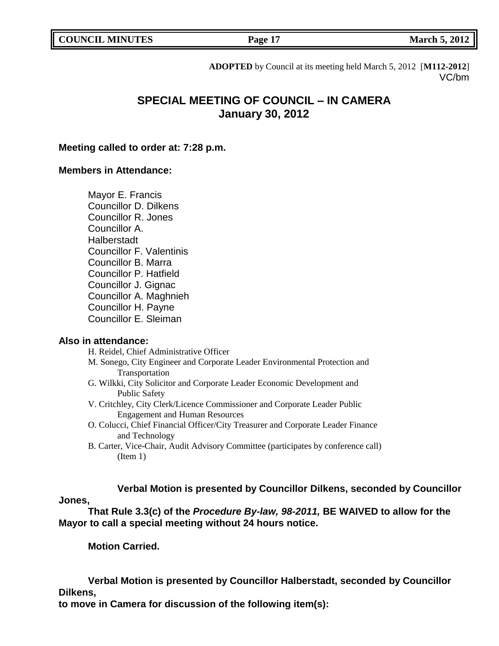**COUNCIL MARCH 5, 2012 Page 17** 

**ADOPTED** by Council at its meeting held March 5, 2012 [**M112-2012**] VC/bm

# **SPECIAL MEETING OF COUNCIL – IN CAMERA January 30, 2012**

## **Meeting called to order at: 7:28 p.m.**

## **Members in Attendance:**

Mayor E. Francis Councillor D. Dilkens Councillor R. Jones Councillor A. Halberstadt Councillor F. Valentinis Councillor B. Marra Councillor P. Hatfield Councillor J. Gignac Councillor A. Maghnieh Councillor H. Payne Councillor E. Sleiman

## **Also in attendance:**

H. Reidel, Chief Administrative Officer

- M. Sonego, City Engineer and Corporate Leader Environmental Protection and Transportation
- G. Wilkki, City Solicitor and Corporate Leader Economic Development and Public Safety
- V. Critchley, City Clerk/Licence Commissioner and Corporate Leader Public Engagement and Human Resources
- O. Colucci, Chief Financial Officer/City Treasurer and Corporate Leader Finance and Technology
- B. Carter, Vice-Chair, Audit Advisory Committee (participates by conference call) (Item 1)

# **Verbal Motion is presented by Councillor Dilkens, seconded by Councillor**

## **Jones,**

**That Rule 3.3(c) of the** *Procedure By-law, 98-2011,* **BE WAIVED to allow for the Mayor to call a special meeting without 24 hours notice.**

**Motion Carried.**

**Verbal Motion is presented by Councillor Halberstadt, seconded by Councillor Dilkens,**

**to move in Camera for discussion of the following item(s):**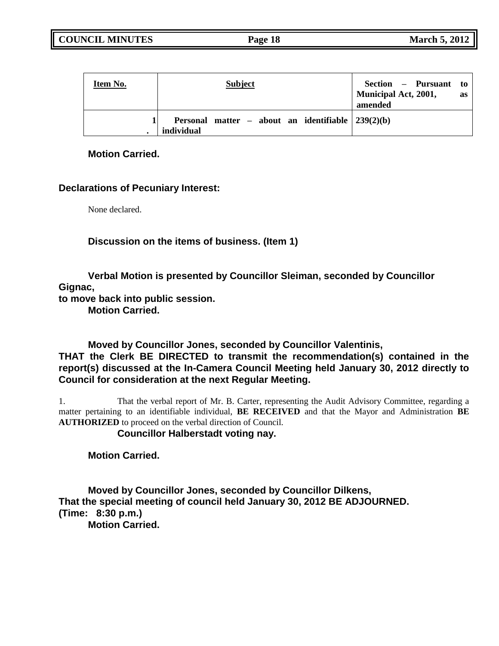**COUNCIL MINUTES Page 18 March 5, 2012**

| Item No. | <b>Subject</b>                                                      | Section – Pursuant to<br>Municipal Act, 2001,<br>as<br>amended |
|----------|---------------------------------------------------------------------|----------------------------------------------------------------|
|          | Personal matter – about an identifiable $ 239(2)(b) $<br>individual |                                                                |

**Motion Carried.**

## **Declarations of Pecuniary Interest:**

None declared.

**Discussion on the items of business. (Item 1)**

**Verbal Motion is presented by Councillor Sleiman, seconded by Councillor Gignac,**

**to move back into public session.**

**Motion Carried.**

**Moved by Councillor Jones, seconded by Councillor Valentinis, THAT the Clerk BE DIRECTED to transmit the recommendation(s) contained in the report(s) discussed at the In-Camera Council Meeting held January 30, 2012 directly to Council for consideration at the next Regular Meeting.**

1. That the verbal report of Mr. B. Carter, representing the Audit Advisory Committee, regarding a matter pertaining to an identifiable individual, **BE RECEIVED** and that the Mayor and Administration **BE AUTHORIZED** to proceed on the verbal direction of Council.

**Councillor Halberstadt voting nay.**

**Motion Carried.**

**Moved by Councillor Jones, seconded by Councillor Dilkens, That the special meeting of council held January 30, 2012 BE ADJOURNED. (Time: 8:30 p.m.)**

**Motion Carried.**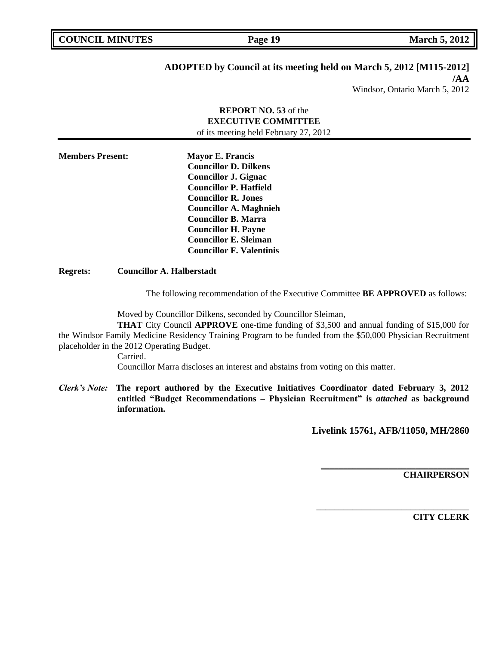**COUNCIL MARCH 5, 2012 Page 19** 

# **ADOPTED by Council at its meeting held on March 5, 2012 [M115-2012]**

**/AA**

# Windsor, Ontario March 5, 2012

## **REPORT NO. 53** of the **EXECUTIVE COMMITTEE** of its meeting held February 27, 2012

**Members Present: Mayor E. Francis Councillor D. Dilkens Councillor J. Gignac Councillor P. Hatfield Councillor R. Jones Councillor A. Maghnieh Councillor B. Marra Councillor H. Payne Councillor E. Sleiman Councillor F. Valentinis**

### **Regrets: Councillor A. Halberstadt**

The following recommendation of the Executive Committee **BE APPROVED** as follows:

Moved by Councillor Dilkens, seconded by Councillor Sleiman,

**THAT** City Council **APPROVE** one-time funding of \$3,500 and annual funding of \$15,000 for the Windsor Family Medicine Residency Training Program to be funded from the \$50,000 Physician Recruitment placeholder in the 2012 Operating Budget.

Carried.

Councillor Marra discloses an interest and abstains from voting on this matter.

*Clerk's Note:* **The report authored by the Executive Initiatives Coordinator dated February 3, 2012 entitled "Budget Recommendations – Physician Recruitment" is** *attached* **as background information.**

**Livelink 15761, AFB/11050, MH/2860**

**\_\_\_\_\_\_\_\_\_\_\_\_\_\_\_\_\_\_\_\_\_\_\_\_\_\_\_\_\_\_\_\_\_**

\_\_\_\_\_\_\_\_\_\_\_\_\_\_\_\_\_\_\_\_\_\_\_\_\_\_\_\_\_\_\_\_\_\_

**CHAIRPERSON**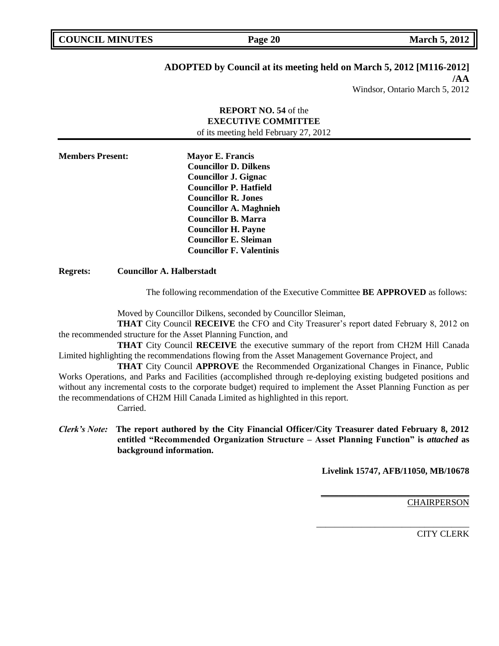**COUNCIL MARK Page 20 March 5, 2012** 

# **ADOPTED by Council at its meeting held on March 5, 2012 [M116-2012]**

**/AA**

Windsor, Ontario March 5, 2012

# **REPORT NO. 54** of the **EXECUTIVE COMMITTEE** of its meeting held February 27, 2012 **Members Present: Mayor E. Francis Councillor D. Dilkens Councillor J. Gignac Councillor P. Hatfield Councillor R. Jones Councillor A. Maghnieh Councillor B. Marra Councillor H. Payne Councillor E. Sleiman Councillor F. Valentinis**

**Regrets: Councillor A. Halberstadt**

The following recommendation of the Executive Committee **BE APPROVED** as follows:

Moved by Councillor Dilkens, seconded by Councillor Sleiman,

**THAT** City Council **RECEIVE** the CFO and City Treasurer's report dated February 8, 2012 on the recommended structure for the Asset Planning Function, and

**THAT** City Council **RECEIVE** the executive summary of the report from CH2M Hill Canada Limited highlighting the recommendations flowing from the Asset Management Governance Project, and

**THAT** City Council **APPROVE** the Recommended Organizational Changes in Finance, Public Works Operations, and Parks and Facilities (accomplished through re-deploying existing budgeted positions and without any incremental costs to the corporate budget) required to implement the Asset Planning Function as per the recommendations of CH2M Hill Canada Limited as highlighted in this report. Carried.

*Clerk's Note:* **The report authored by the City Financial Officer/City Treasurer dated February 8, 2012 entitled "Recommended Organization Structure – Asset Planning Function" is** *attached* **as background information.**

**Livelink 15747, AFB/11050, MB/10678**

**\_\_\_\_\_\_\_\_\_\_\_\_\_\_\_\_\_\_\_\_\_\_\_\_\_\_\_\_\_\_\_\_\_**

\_\_\_\_\_\_\_\_\_\_\_\_\_\_\_\_\_\_\_\_\_\_\_\_\_\_\_\_\_\_\_\_\_\_

**CHAIRPERSON**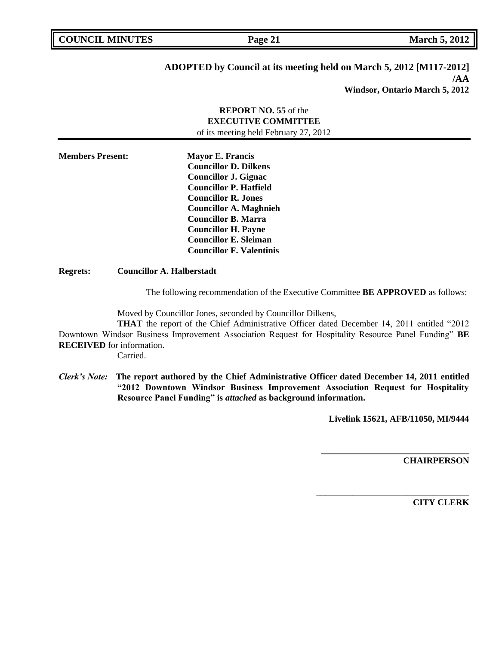| <b>COUNCIL MINUTES</b> |  |
|------------------------|--|
|------------------------|--|

**COUNCIL MARK Page 21 March 5, 2012** 

# **ADOPTED by Council at its meeting held on March 5, 2012 [M117-2012] /AA**

**Windsor, Ontario March 5, 2012**

# **REPORT NO. 55** of the **EXECUTIVE COMMITTEE** of its meeting held February 27, 2012 **Members Present: Mayor E. Francis Councillor D. Dilkens Councillor J. Gignac Councillor P. Hatfield Councillor R. Jones Councillor A. Maghnieh Councillor B. Marra Councillor H. Payne Councillor E. Sleiman Councillor F. Valentinis**

**Regrets: Councillor A. Halberstadt**

The following recommendation of the Executive Committee **BE APPROVED** as follows:

Moved by Councillor Jones, seconded by Councillor Dilkens,

**THAT** the report of the Chief Administrative Officer dated December 14, 2011 entitled "2012 Downtown Windsor Business Improvement Association Request for Hospitality Resource Panel Funding" **BE RECEIVED** for information.

Carried.

*Clerk's Note:* **The report authored by the Chief Administrative Officer dated December 14, 2011 entitled "2012 Downtown Windsor Business Improvement Association Request for Hospitality Resource Panel Funding" is** *attached* **as background information.**

**Livelink 15621, AFB/11050, MI/9444**

**\_\_\_\_\_\_\_\_\_\_\_\_\_\_\_\_\_\_\_\_\_\_\_\_\_\_\_\_\_\_\_\_\_**

\_\_\_\_\_\_\_\_\_\_\_\_\_\_\_\_\_\_\_\_\_\_\_\_\_\_\_\_\_\_\_\_\_\_

**CHAIRPERSON**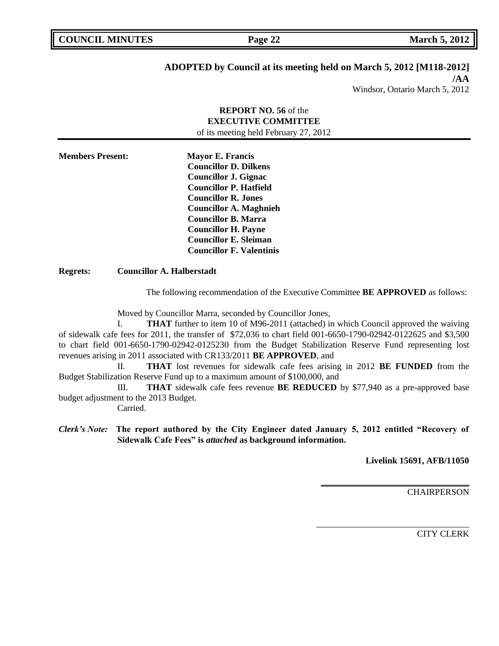# **ADOPTED by Council at its meeting held on March 5, 2012 [M118-2012]**

**/AA**

Windsor, Ontario March 5, 2012

## **REPORT NO. 56** of the **EXECUTIVE COMMITTEE** of its meeting held February 27, 2012

**Members Present: Mayor E. Francis Councillor D. Dilkens Councillor J. Gignac Councillor P. Hatfield Councillor R. Jones Councillor A. Maghnieh Councillor B. Marra Councillor H. Payne Councillor E. Sleiman Councillor F. Valentinis**

**Regrets: Councillor A. Halberstadt**

The following recommendation of the Executive Committee **BE APPROVED** as follows:

Moved by Councillor Marra, seconded by Councillor Jones,

I. **THAT** further to item 10 of M96-2011 (attached) in which Council approved the waiving of sidewalk cafe fees for 2011, the transfer of \$72,036 to chart field 001-6650-1790-02942-0122625 and \$3,500 to chart field 001-6650-1790-02942-0125230 from the Budget Stabilization Reserve Fund representing lost revenues arising in 2011 associated with CR133/2011 **BE APPROVED**, and

II. **THAT** lost revenues for sidewalk cafe fees arising in 2012 **BE FUNDED** from the Budget Stabilization Reserve Fund up to a maximum amount of \$100,000, and

III. **THAT** sidewalk cafe fees revenue **BE REDUCED** by \$77,940 as a pre-approved base budget adjustment to the 2013 Budget.

Carried.

*Clerk's Note:* **The report authored by the City Engineer dated January 5, 2012 entitled "Recovery of Sidewalk Cafe Fees" is** *attached* **as background information.**

**Livelink 15691, AFB/11050**

**\_\_\_\_\_\_\_\_\_\_\_\_\_\_\_\_\_\_\_\_\_\_\_\_\_\_\_\_\_\_\_\_\_**

\_\_\_\_\_\_\_\_\_\_\_\_\_\_\_\_\_\_\_\_\_\_\_\_\_\_\_\_\_\_\_\_\_\_

**CHAIRPERSON**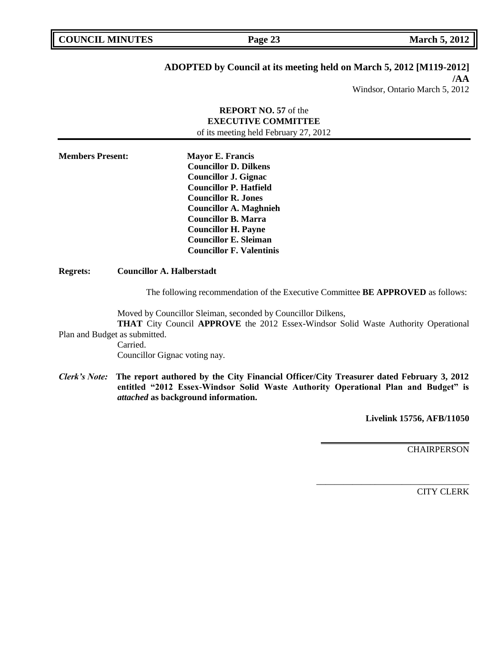**COUNCIL MARK Page 23 March 5, 2012** 

## **ADOPTED by Council at its meeting held on March 5, 2012 [M119-2012]**

**/AA** Windsor, Ontario March 5, 2012

## **REPORT NO. 57** of the **EXECUTIVE COMMITTEE** of its meeting held February 27, 2012

**Members Present: Mayor E. Francis Councillor D. Dilkens Councillor J. Gignac Councillor P. Hatfield Councillor R. Jones Councillor A. Maghnieh Councillor B. Marra Councillor H. Payne Councillor E. Sleiman Councillor F. Valentinis**

**Regrets: Councillor A. Halberstadt**

The following recommendation of the Executive Committee **BE APPROVED** as follows:

Moved by Councillor Sleiman, seconded by Councillor Dilkens,

**THAT** City Council **APPROVE** the 2012 Essex-Windsor Solid Waste Authority Operational Plan and Budget as submitted.

Carried. Councillor Gignac voting nay.

*Clerk's Note:* **The report authored by the City Financial Officer/City Treasurer dated February 3, 2012 entitled "2012 Essex-Windsor Solid Waste Authority Operational Plan and Budget" is**  *attached* **as background information.**

**Livelink 15756, AFB/11050**

**\_\_\_\_\_\_\_\_\_\_\_\_\_\_\_\_\_\_\_\_\_\_\_\_\_\_\_\_\_\_\_\_\_**

\_\_\_\_\_\_\_\_\_\_\_\_\_\_\_\_\_\_\_\_\_\_\_\_\_\_\_\_\_\_\_\_\_\_

**CHAIRPERSON**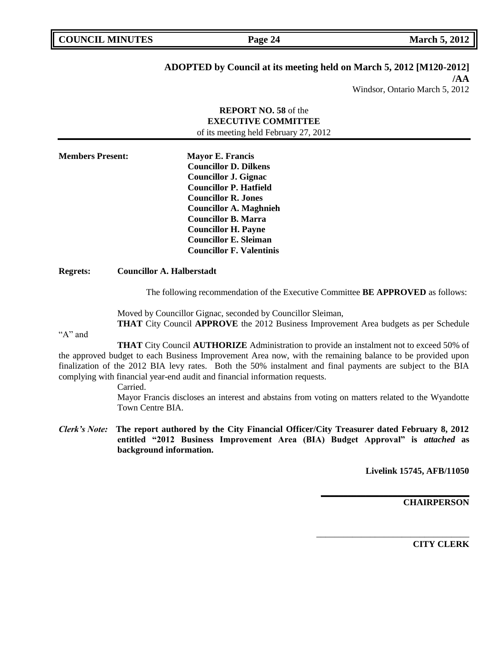**COUNCIL MARCH 5, 2012 Page 24 March 5, 2012** 

# **ADOPTED by Council at its meeting held on March 5, 2012 [M120-2012]**

**/AA**

Windsor, Ontario March 5, 2012

| <b>REPORT NO. 58</b> of the<br><b>EXECUTIVE COMMITTEE</b> |  |                                                                                                                                                                                                                                                                                                                       |  |  |  |
|-----------------------------------------------------------|--|-----------------------------------------------------------------------------------------------------------------------------------------------------------------------------------------------------------------------------------------------------------------------------------------------------------------------|--|--|--|
| of its meeting held February 27, 2012                     |  |                                                                                                                                                                                                                                                                                                                       |  |  |  |
| <b>Members Present:</b>                                   |  | <b>Mayor E. Francis</b><br><b>Councillor D. Dilkens</b><br><b>Councillor J. Gignac</b><br><b>Councillor P. Hatfield</b><br><b>Councillor R. Jones</b><br><b>Councillor A. Maghnieh</b><br><b>Councillor B. Marra</b><br><b>Councillor H. Payne</b><br><b>Councillor E. Sleiman</b><br><b>Councillor F. Valentinis</b> |  |  |  |
| <b>Regrets:</b>                                           |  | <b>Councillor A. Halberstadt</b>                                                                                                                                                                                                                                                                                      |  |  |  |

The following recommendation of the Executive Committee **BE APPROVED** as follows:

Moved by Councillor Gignac, seconded by Councillor Sleiman,

**THAT** City Council **APPROVE** the 2012 Business Improvement Area budgets as per Schedule

"A" and

**THAT** City Council **AUTHORIZE** Administration to provide an instalment not to exceed 50% of the approved budget to each Business Improvement Area now, with the remaining balance to be provided upon finalization of the 2012 BIA levy rates. Both the 50% instalment and final payments are subject to the BIA complying with financial year-end audit and financial information requests.

Carried.

Mayor Francis discloses an interest and abstains from voting on matters related to the Wyandotte Town Centre BIA.

*Clerk's Note:* **The report authored by the City Financial Officer/City Treasurer dated February 8, 2012 entitled "2012 Business Improvement Area (BIA) Budget Approval" is** *attached* **as background information.**

**Livelink 15745, AFB/11050**

**\_\_\_\_\_\_\_\_\_\_\_\_\_\_\_\_\_\_\_\_\_\_\_\_\_\_\_\_\_\_\_\_\_**

\_\_\_\_\_\_\_\_\_\_\_\_\_\_\_\_\_\_\_\_\_\_\_\_\_\_\_\_\_\_\_\_\_\_

**CHAIRPERSON**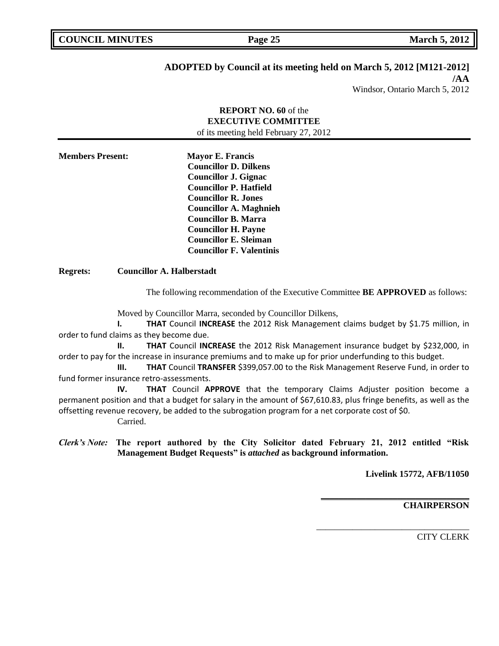# **ADOPTED by Council at its meeting held on March 5, 2012 [M121-2012]**

**/AA**

Windsor, Ontario March 5, 2012

## **REPORT NO. 60** of the **EXECUTIVE COMMITTEE** of its meeting held February 27, 2012

**Members Present: Mayor E. Francis Councillor D. Dilkens Councillor J. Gignac Councillor P. Hatfield Councillor R. Jones Councillor A. Maghnieh Councillor B. Marra Councillor H. Payne Councillor E. Sleiman Councillor F. Valentinis**

**Regrets: Councillor A. Halberstadt**

The following recommendation of the Executive Committee **BE APPROVED** as follows:

Moved by Councillor Marra, seconded by Councillor Dilkens,

**I. THAT** Council **INCREASE** the 2012 Risk Management claims budget by \$1.75 million, in order to fund claims as they become due.

**II. THAT** Council **INCREASE** the 2012 Risk Management insurance budget by \$232,000, in order to pay for the increase in insurance premiums and to make up for prior underfunding to this budget.

**III. THAT** Council **TRANSFER** \$399,057.00 to the Risk Management Reserve Fund, in order to fund former insurance retro-assessments.

**IV. THAT** Council **APPROVE** that the temporary Claims Adjuster position become a permanent position and that a budget for salary in the amount of \$67,610.83, plus fringe benefits, as well as the offsetting revenue recovery, be added to the subrogation program for a net corporate cost of \$0.

Carried.

*Clerk's Note:* **The report authored by the City Solicitor dated February 21, 2012 entitled "Risk Management Budget Requests" is** *attached* **as background information.**

**Livelink 15772, AFB/11050**

**\_\_\_\_\_\_\_\_\_\_\_\_\_\_\_\_\_\_\_\_\_\_\_\_\_\_\_\_\_\_\_\_\_**

\_\_\_\_\_\_\_\_\_\_\_\_\_\_\_\_\_\_\_\_\_\_\_\_\_\_\_\_\_\_\_\_\_\_

**CHAIRPERSON**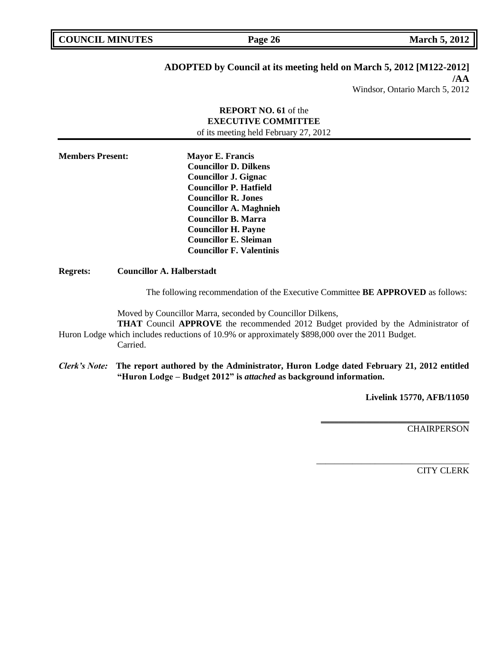| <b>COUNCIL MINUTES</b> |  |
|------------------------|--|
|------------------------|--|

**COUNCIL MARK Page 26 March 5, 2012** 

# **ADOPTED by Council at its meeting held on March 5, 2012 [M122-2012]**

**/AA**

# Windsor, Ontario March 5, 2012

# **REPORT NO. 61** of the **EXECUTIVE COMMITTEE** of its meeting held February 27, 2012 **Members Present: Mayor E. Francis Councillor D. Dilkens Councillor J. Gignac Councillor P. Hatfield Councillor R. Jones Councillor A. Maghnieh Councillor B. Marra Councillor H. Payne Councillor E. Sleiman Councillor F. Valentinis Regrets: Councillor A. Halberstadt**

The following recommendation of the Executive Committee **BE APPROVED** as follows:

Moved by Councillor Marra, seconded by Councillor Dilkens,

**THAT** Council **APPROVE** the recommended 2012 Budget provided by the Administrator of Huron Lodge which includes reductions of 10.9% or approximately \$898,000 over the 2011 Budget. Carried.

*Clerk's Note:* **The report authored by the Administrator, Huron Lodge dated February 21, 2012 entitled "Huron Lodge – Budget 2012" is** *attached* **as background information.**

**Livelink 15770, AFB/11050**

**\_\_\_\_\_\_\_\_\_\_\_\_\_\_\_\_\_\_\_\_\_\_\_\_\_\_\_\_\_\_\_\_\_**

\_\_\_\_\_\_\_\_\_\_\_\_\_\_\_\_\_\_\_\_\_\_\_\_\_\_\_\_\_\_\_\_\_\_

**CHAIRPERSON**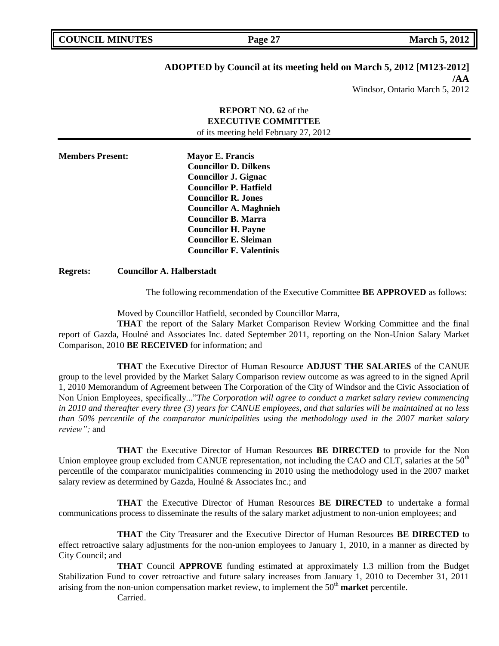# **ADOPTED by Council at its meeting held on March 5, 2012 [M123-2012]**

**/AA**

Windsor, Ontario March 5, 2012

# **REPORT NO. 62** of the **EXECUTIVE COMMITTEE** of its meeting held February 27, 2012

**Members Present: Mayor E. Francis Councillor D. Dilkens Councillor J. Gignac Councillor P. Hatfield Councillor R. Jones Councillor A. Maghnieh Councillor B. Marra Councillor H. Payne Councillor E. Sleiman Councillor F. Valentinis**

**Regrets: Councillor A. Halberstadt**

The following recommendation of the Executive Committee **BE APPROVED** as follows:

Moved by Councillor Hatfield, seconded by Councillor Marra,

**THAT** the report of the Salary Market Comparison Review Working Committee and the final report of Gazda, Houlné and Associates Inc. dated September 2011, reporting on the Non-Union Salary Market Comparison, 2010 **BE RECEIVED** for information; and

**THAT** the Executive Director of Human Resource **ADJUST THE SALARIES** of the CANUE group to the level provided by the Market Salary Comparison review outcome as was agreed to in the signed April 1, 2010 Memorandum of Agreement between The Corporation of the City of Windsor and the Civic Association of Non Union Employees, specifically..."*The Corporation will agree to conduct a market salary review commencing in 2010 and thereafter every three (3) years for CANUE employees, and that salaries will be maintained at no less than 50% percentile of the comparator municipalities using the methodology used in the 2007 market salary review";* and

**THAT** the Executive Director of Human Resources **BE DIRECTED** to provide for the Non Union employee group excluded from CANUE representation, not including the CAO and CLT, salaries at the 50<sup>th</sup> percentile of the comparator municipalities commencing in 2010 using the methodology used in the 2007 market salary review as determined by Gazda, Houlné & Associates Inc.; and

**THAT** the Executive Director of Human Resources **BE DIRECTED** to undertake a formal communications process to disseminate the results of the salary market adjustment to non-union employees; and

**THAT** the City Treasurer and the Executive Director of Human Resources **BE DIRECTED** to effect retroactive salary adjustments for the non-union employees to January 1, 2010, in a manner as directed by City Council; and

**THAT** Council **APPROVE** funding estimated at approximately 1.3 million from the Budget Stabilization Fund to cover retroactive and future salary increases from January 1, 2010 to December 31, 2011 arising from the non-union compensation market review, to implement the 50<sup>th</sup> market percentile.

Carried.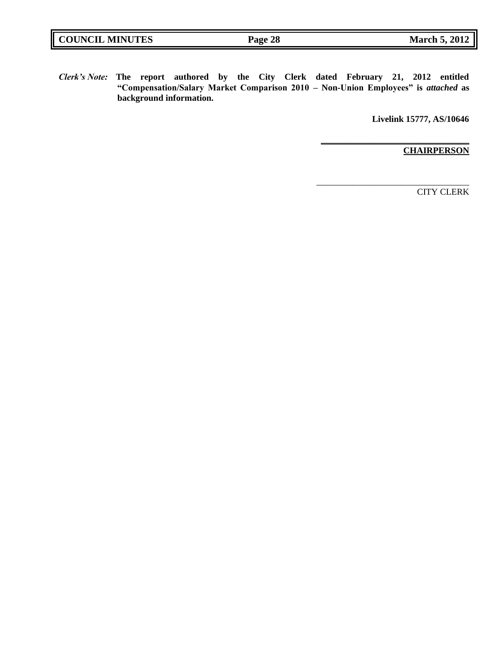| <b>COUNCIL MINUTES</b> | Page 28 | <b>March 5, 2012</b> |
|------------------------|---------|----------------------|
|                        |         |                      |

*Clerk's Note:* **The report authored by the City Clerk dated February 21, 2012 entitled "Compensation/Salary Market Comparison 2010 – Non-Union Employees" is** *attached* **as background information.**

**Livelink 15777, AS/10646**

**\_\_\_\_\_\_\_\_\_\_\_\_\_\_\_\_\_\_\_\_\_\_\_\_\_\_\_\_\_\_\_\_\_**

\_\_\_\_\_\_\_\_\_\_\_\_\_\_\_\_\_\_\_\_\_\_\_\_\_\_\_\_\_\_\_\_\_\_

**CHAIRPERSON**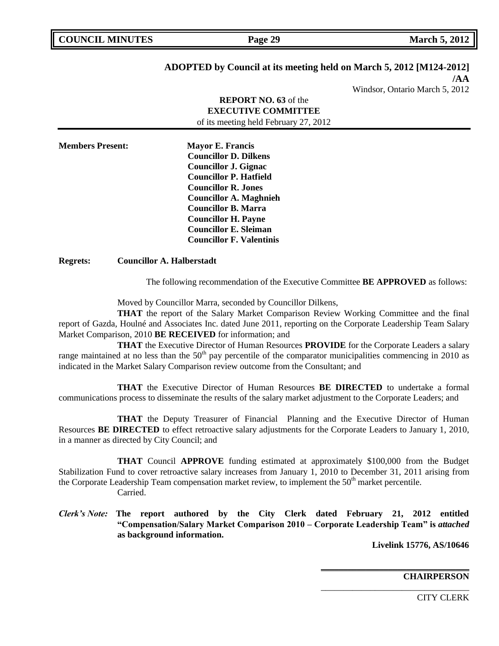| <b>COUNCIL MINUTES</b> |  |
|------------------------|--|
|                        |  |

# **ADOPTED by Council at its meeting held on March 5, 2012 [M124-2012]**

**/AA** Windsor, Ontario March 5, 2012

## **REPORT NO. 63** of the **EXECUTIVE COMMITTEE** of its meeting held February 27, 2012

**Members Present: Mayor E. Francis Councillor D. Dilkens Councillor J. Gignac Councillor P. Hatfield Councillor R. Jones Councillor A. Maghnieh Councillor B. Marra Councillor H. Payne Councillor E. Sleiman Councillor F. Valentinis**

## **Regrets: Councillor A. Halberstadt**

The following recommendation of the Executive Committee **BE APPROVED** as follows:

Moved by Councillor Marra, seconded by Councillor Dilkens,

**THAT** the report of the Salary Market Comparison Review Working Committee and the final report of Gazda, Houlné and Associates Inc. dated June 2011, reporting on the Corporate Leadership Team Salary Market Comparison, 2010 **BE RECEIVED** for information; and

**THAT** the Executive Director of Human Resources **PROVIDE** for the Corporate Leaders a salary range maintained at no less than the  $50<sup>th</sup>$  pay percentile of the comparator municipalities commencing in 2010 as indicated in the Market Salary Comparison review outcome from the Consultant; and

**THAT** the Executive Director of Human Resources **BE DIRECTED** to undertake a formal communications process to disseminate the results of the salary market adjustment to the Corporate Leaders; and

**THAT** the Deputy Treasurer of Financial Planning and the Executive Director of Human Resources **BE DIRECTED** to effect retroactive salary adjustments for the Corporate Leaders to January 1, 2010, in a manner as directed by City Council; and

**THAT** Council **APPROVE** funding estimated at approximately \$100,000 from the Budget Stabilization Fund to cover retroactive salary increases from January 1, 2010 to December 31, 2011 arising from the Corporate Leadership Team compensation market review, to implement the  $50<sup>th</sup>$  market percentile. Carried.

*Clerk's Note:* **The report authored by the City Clerk dated February 21, 2012 entitled "Compensation/Salary Market Comparison 2010 – Corporate Leadership Team" is** *attached* **as background information.**

**Livelink 15776, AS/10646**

**\_\_\_\_\_\_\_\_\_\_\_\_\_\_\_\_\_\_\_\_\_\_\_\_\_\_\_\_\_\_\_\_\_**

\_\_\_\_\_\_\_\_\_\_\_\_\_\_\_\_\_\_\_\_\_\_\_\_\_\_\_\_\_\_\_\_\_

**CHAIRPERSON**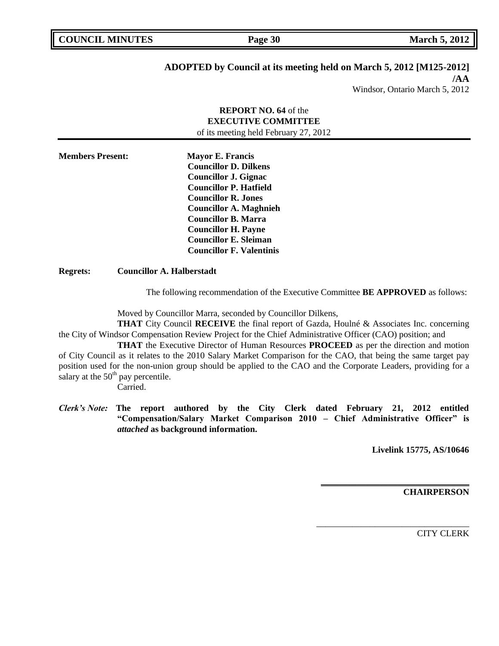**COUNCIL MARK Page 30 March 5, 2012** 

# **ADOPTED by Council at its meeting held on March 5, 2012 [M125-2012]**

**/AA** Windsor, Ontario March 5, 2012

# **REPORT NO. 64** of the **EXECUTIVE COMMITTEE** of its meeting held February 27, 2012 **Members Present: Mayor E. Francis Councillor D. Dilkens Councillor J. Gignac Councillor P. Hatfield Councillor R. Jones Councillor A. Maghnieh Councillor B. Marra Councillor H. Payne Councillor E. Sleiman Councillor F. Valentinis**

### **Regrets: Councillor A. Halberstadt**

The following recommendation of the Executive Committee **BE APPROVED** as follows:

Moved by Councillor Marra, seconded by Councillor Dilkens,

**THAT** City Council **RECEIVE** the final report of Gazda, Houlné & Associates Inc. concerning the City of Windsor Compensation Review Project for the Chief Administrative Officer (CAO) position; and

**THAT** the Executive Director of Human Resources **PROCEED** as per the direction and motion of City Council as it relates to the 2010 Salary Market Comparison for the CAO, that being the same target pay position used for the non-union group should be applied to the CAO and the Corporate Leaders, providing for a salary at the  $50<sup>th</sup>$  pay percentile.

Carried.

*Clerk's Note:* **The report authored by the City Clerk dated February 21, 2012 entitled "Compensation/Salary Market Comparison 2010 – Chief Administrative Officer" is**  *attached* **as background information.**

**Livelink 15775, AS/10646**

**\_\_\_\_\_\_\_\_\_\_\_\_\_\_\_\_\_\_\_\_\_\_\_\_\_\_\_\_\_\_\_\_\_**

\_\_\_\_\_\_\_\_\_\_\_\_\_\_\_\_\_\_\_\_\_\_\_\_\_\_\_\_\_\_\_\_\_\_

**CHAIRPERSON**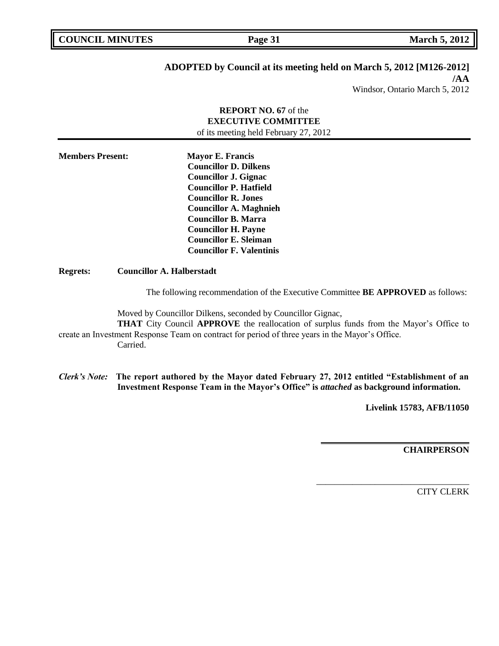| <b>COUNCIL MINUTES</b> |  |
|------------------------|--|
|------------------------|--|

# **ADOPTED by Council at its meeting held on March 5, 2012 [M126-2012]**

**/AA** Windsor, Ontario March 5, 2012

# **REPORT NO. 67** of the **EXECUTIVE COMMITTEE** of its meeting held February 27, 2012 **Members Present: Mayor E. Francis Councillor D. Dilkens Councillor J. Gignac Councillor P. Hatfield Councillor R. Jones Councillor A. Maghnieh Councillor B. Marra Councillor H. Payne Councillor E. Sleiman Councillor F. Valentinis Regrets: Councillor A. Halberstadt** The following recommendation of the Executive Committee **BE APPROVED** as follows:

Moved by Councillor Dilkens, seconded by Councillor Gignac,

**THAT** City Council **APPROVE** the reallocation of surplus funds from the Mayor's Office to create an Investment Response Team on contract for period of three years in the Mayor's Office. Carried.

*Clerk's Note:* **The report authored by the Mayor dated February 27, 2012 entitled "Establishment of an Investment Response Team in the Mayor's Office" is** *attached* **as background information.**

**Livelink 15783, AFB/11050**

**\_\_\_\_\_\_\_\_\_\_\_\_\_\_\_\_\_\_\_\_\_\_\_\_\_\_\_\_\_\_\_\_\_**

\_\_\_\_\_\_\_\_\_\_\_\_\_\_\_\_\_\_\_\_\_\_\_\_\_\_\_\_\_\_\_\_\_\_

**CHAIRPERSON**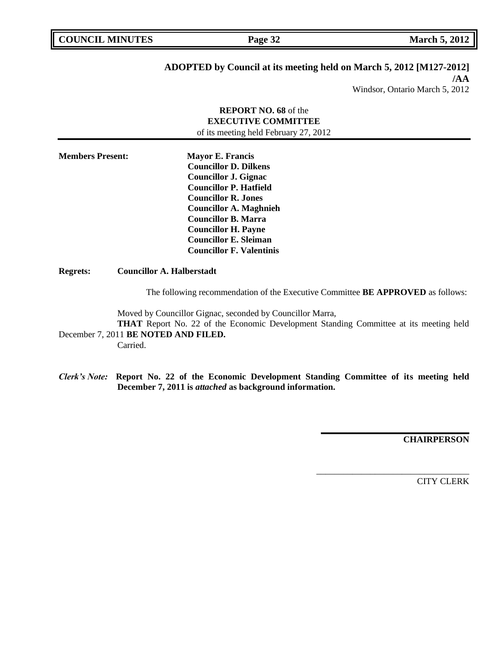# **ADOPTED by Council at its meeting held on March 5, 2012 [M127-2012]**

**/AA** Windsor, Ontario March 5, 2012

## **REPORT NO. 68** of the **EXECUTIVE COMMITTEE** of its meeting held February 27, 2012

**Members Present: Mayor E. Francis Councillor D. Dilkens Councillor J. Gignac Councillor P. Hatfield Councillor R. Jones Councillor A. Maghnieh Councillor B. Marra Councillor H. Payne Councillor E. Sleiman Councillor F. Valentinis**

**Regrets: Councillor A. Halberstadt**

The following recommendation of the Executive Committee **BE APPROVED** as follows:

Moved by Councillor Gignac, seconded by Councillor Marra,

**THAT** Report No. 22 of the Economic Development Standing Committee at its meeting held December 7, 2011 **BE NOTED AND FILED.**

Carried.

*Clerk's Note:* **Report No. 22 of the Economic Development Standing Committee of its meeting held December 7, 2011 is** *attached* **as background information.**

**CHAIRPERSON**

**\_\_\_\_\_\_\_\_\_\_\_\_\_\_\_\_\_\_\_\_\_\_\_\_\_\_\_\_\_\_\_\_\_**

\_\_\_\_\_\_\_\_\_\_\_\_\_\_\_\_\_\_\_\_\_\_\_\_\_\_\_\_\_\_\_\_\_\_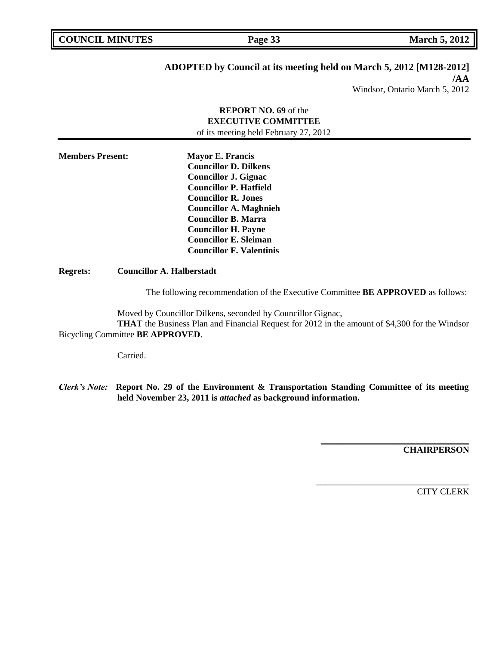# **ADOPTED by Council at its meeting held on March 5, 2012 [M128-2012]**

**/AA** Windsor, Ontario March 5, 2012

## **REPORT NO. 69** of the **EXECUTIVE COMMITTEE** of its meeting held February 27, 2012

**Members Present: Mayor E. Francis Councillor D. Dilkens Councillor J. Gignac Councillor P. Hatfield Councillor R. Jones Councillor A. Maghnieh Councillor B. Marra Councillor H. Payne Councillor E. Sleiman Councillor F. Valentinis**

**Regrets: Councillor A. Halberstadt**

The following recommendation of the Executive Committee **BE APPROVED** as follows:

Moved by Councillor Dilkens, seconded by Councillor Gignac, **THAT** the Business Plan and Financial Request for 2012 in the amount of \$4,300 for the Windsor

Bicycling Committee **BE APPROVED**.

Carried.

*Clerk's Note:* **Report No. 29 of the Environment & Transportation Standing Committee of its meeting held November 23, 2011 is** *attached* **as background information.**

**CHAIRPERSON**

**\_\_\_\_\_\_\_\_\_\_\_\_\_\_\_\_\_\_\_\_\_\_\_\_\_\_\_\_\_\_\_\_\_**

\_\_\_\_\_\_\_\_\_\_\_\_\_\_\_\_\_\_\_\_\_\_\_\_\_\_\_\_\_\_\_\_\_\_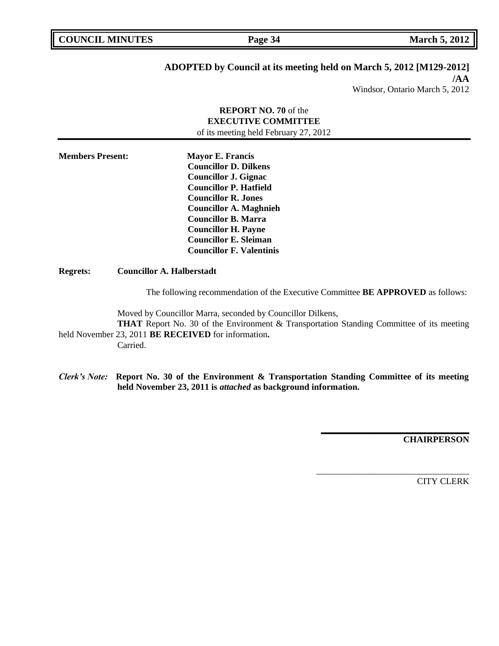**COUNCIL MARK Page 34 March 5, 2012** 

# **ADOPTED by Council at its meeting held on March 5, 2012 [M129-2012]**

**/AA** Windsor, Ontario March 5, 2012

# **REPORT NO. 70** of the **EXECUTIVE COMMITTEE** of its meeting held February 27, 2012 **Members Present: Mayor E. Francis Councillor D. Dilkens Councillor J. Gignac Councillor P. Hatfield Councillor R. Jones Councillor A. Maghnieh Councillor B. Marra Councillor H. Payne Councillor E. Sleiman Councillor F. Valentinis Regrets: Councillor A. Halberstadt**

The following recommendation of the Executive Committee **BE APPROVED** as follows:

Moved by Councillor Marra, seconded by Councillor Dilkens,

**THAT** Report No. 30 of the Environment & Transportation Standing Committee of its meeting held November 23, 2011 **BE RECEIVED** for information**.**

Carried.

*Clerk's Note:* **Report No. 30 of the Environment & Transportation Standing Committee of its meeting held November 23, 2011 is** *attached* **as background information.**

**CHAIRPERSON**

**\_\_\_\_\_\_\_\_\_\_\_\_\_\_\_\_\_\_\_\_\_\_\_\_\_\_\_\_\_\_\_\_\_**

\_\_\_\_\_\_\_\_\_\_\_\_\_\_\_\_\_\_\_\_\_\_\_\_\_\_\_\_\_\_\_\_\_\_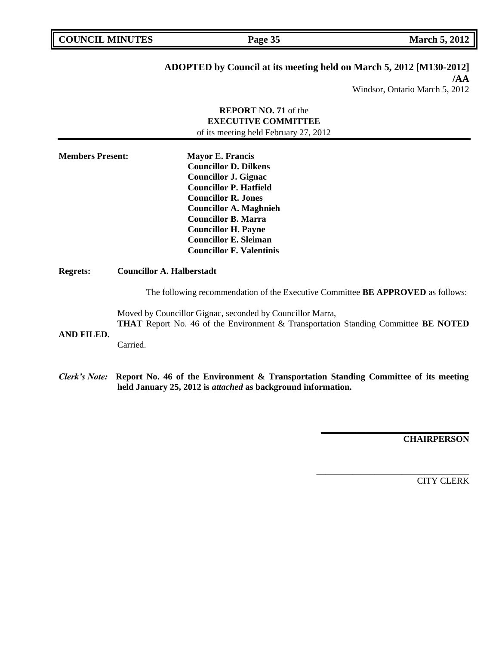**COUNCIL MINUTES Page 35 March 5, 2012** 

# **ADOPTED by Council at its meeting held on March 5, 2012 [M130-2012]**

**/AA** Windsor, Ontario March 5, 2012

# **REPORT NO. 71** of the **EXECUTIVE COMMITTEE** of its meeting held February 27, 2012 **Members Present: Mayor E. Francis Councillor D. Dilkens Councillor J. Gignac Councillor P. Hatfield Councillor R. Jones Councillor A. Maghnieh Councillor B. Marra Councillor H. Payne Councillor E. Sleiman Councillor F. Valentinis Regrets: Councillor A. Halberstadt** The following recommendation of the Executive Committee **BE APPROVED** as follows: Moved by Councillor Gignac, seconded by Councillor Marra, **THAT** Report No. 46 of the Environment & Transportation Standing Committee **BE NOTED AND FILED.** Carried. *Clerk's Note:* **Report No. 46 of the Environment & Transportation Standing Committee of its meeting held January 25, 2012 is** *attached* **as background information.**

**CHAIRPERSON**

**\_\_\_\_\_\_\_\_\_\_\_\_\_\_\_\_\_\_\_\_\_\_\_\_\_\_\_\_\_\_\_\_\_**

\_\_\_\_\_\_\_\_\_\_\_\_\_\_\_\_\_\_\_\_\_\_\_\_\_\_\_\_\_\_\_\_\_\_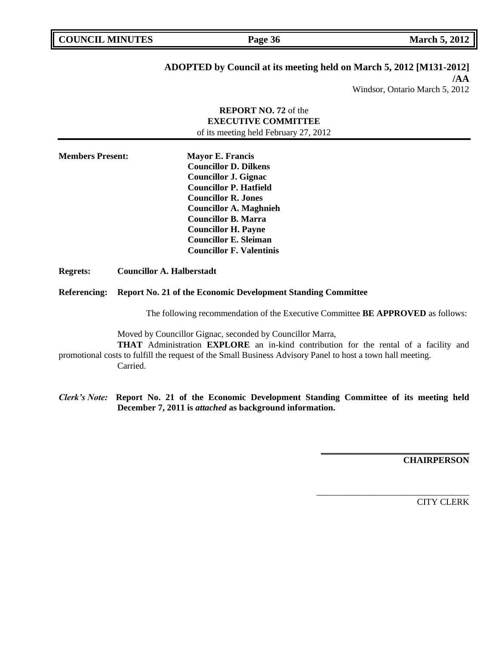|  | <b>COUNCIL MINUTES</b> |  |
|--|------------------------|--|
|--|------------------------|--|

**COUNCIL MARCH 5, 2012 Page 36 March 5, 2012** 

# **ADOPTED by Council at its meeting held on March 5, 2012 [M131-2012]**

**/AA** Windsor, Ontario March 5, 2012

# **REPORT NO. 72** of the **EXECUTIVE COMMITTEE** of its meeting held February 27, 2012

**Members Present: Mayor E. Francis Councillor D. Dilkens Councillor J. Gignac Councillor P. Hatfield Councillor R. Jones Councillor A. Maghnieh Councillor B. Marra Councillor H. Payne Councillor E. Sleiman Councillor F. Valentinis**

**Regrets: Councillor A. Halberstadt**

### **Referencing: Report No. 21 of the Economic Development Standing Committee**

The following recommendation of the Executive Committee **BE APPROVED** as follows:

Moved by Councillor Gignac, seconded by Councillor Marra,

**THAT** Administration **EXPLORE** an in-kind contribution for the rental of a facility and promotional costs to fulfill the request of the Small Business Advisory Panel to host a town hall meeting. Carried.

*Clerk's Note:* **Report No. 21 of the Economic Development Standing Committee of its meeting held December 7, 2011 is** *attached* **as background information.**

**CHAIRPERSON**

**\_\_\_\_\_\_\_\_\_\_\_\_\_\_\_\_\_\_\_\_\_\_\_\_\_\_\_\_\_\_\_\_\_**

\_\_\_\_\_\_\_\_\_\_\_\_\_\_\_\_\_\_\_\_\_\_\_\_\_\_\_\_\_\_\_\_\_\_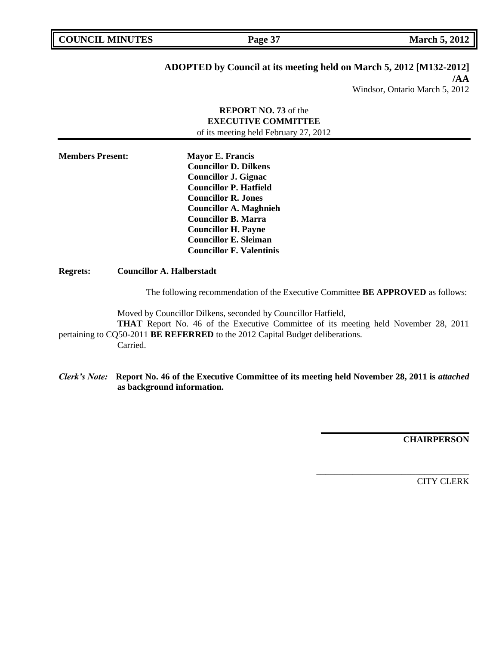**COUNCIL MINUTES Page 37 March 5, 2012** 

# **ADOPTED by Council at its meeting held on March 5, 2012 [M132-2012]**

**/AA** Windsor, Ontario March 5, 2012

# **REPORT NO. 73** of the **EXECUTIVE COMMITTEE** of its meeting held February 27, 2012 **Members Present: Mayor E. Francis Councillor D. Dilkens Councillor J. Gignac Councillor P. Hatfield Councillor R. Jones Councillor A. Maghnieh Councillor B. Marra Councillor H. Payne Councillor E. Sleiman**

**Regrets: Councillor A. Halberstadt**

The following recommendation of the Executive Committee **BE APPROVED** as follows:

Moved by Councillor Dilkens, seconded by Councillor Hatfield,

**Councillor F. Valentinis**

**THAT** Report No. 46 of the Executive Committee of its meeting held November 28, 2011 pertaining to CQ50-2011 **BE REFERRED** to the 2012 Capital Budget deliberations. Carried.

*Clerk's Note:* **Report No. 46 of the Executive Committee of its meeting held November 28, 2011 is** *attached* **as background information.**

**CHAIRPERSON**

**\_\_\_\_\_\_\_\_\_\_\_\_\_\_\_\_\_\_\_\_\_\_\_\_\_\_\_\_\_\_\_\_\_**

\_\_\_\_\_\_\_\_\_\_\_\_\_\_\_\_\_\_\_\_\_\_\_\_\_\_\_\_\_\_\_\_\_\_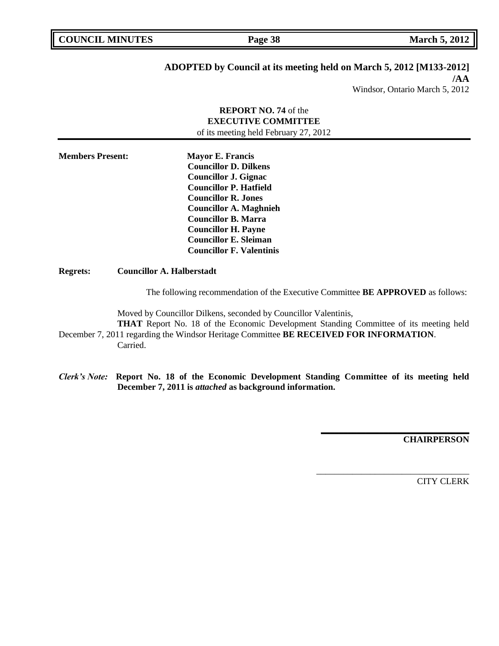| <b>COUNCIL MINUTES</b> |  |
|------------------------|--|
|------------------------|--|

**COUNCIL MINUTES Page 38 March 5, 2012** 

# **ADOPTED by Council at its meeting held on March 5, 2012 [M133-2012]**

**/AA** Windsor, Ontario March 5, 2012

# **REPORT NO. 74** of the **EXECUTIVE COMMITTEE** of its meeting held February 27, 2012 **Members Present: Mayor E. Francis Councillor D. Dilkens Councillor J. Gignac Councillor P. Hatfield Councillor R. Jones Councillor A. Maghnieh Councillor B. Marra Councillor H. Payne Councillor E. Sleiman Councillor F. Valentinis**

### **Regrets: Councillor A. Halberstadt**

The following recommendation of the Executive Committee **BE APPROVED** as follows:

Moved by Councillor Dilkens, seconded by Councillor Valentinis,

**THAT** Report No. 18 of the Economic Development Standing Committee of its meeting held December 7, 2011 regarding the Windsor Heritage Committee **BE RECEIVED FOR INFORMATION**. Carried.

*Clerk's Note:* **Report No. 18 of the Economic Development Standing Committee of its meeting held December 7, 2011 is** *attached* **as background information.**

**CHAIRPERSON**

**\_\_\_\_\_\_\_\_\_\_\_\_\_\_\_\_\_\_\_\_\_\_\_\_\_\_\_\_\_\_\_\_\_**

\_\_\_\_\_\_\_\_\_\_\_\_\_\_\_\_\_\_\_\_\_\_\_\_\_\_\_\_\_\_\_\_\_\_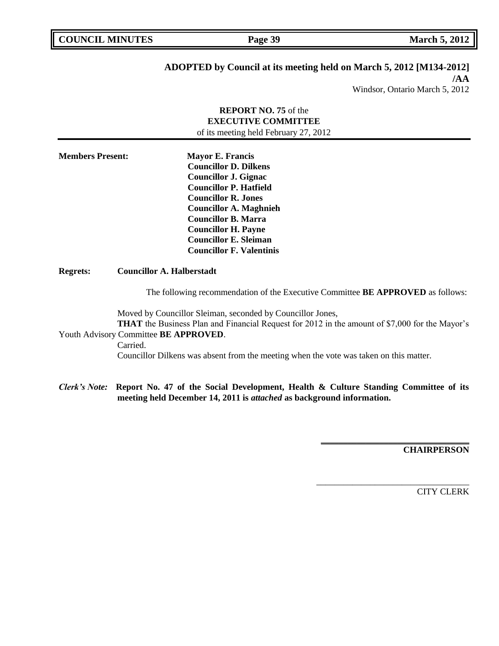**COUNCIL MINUTES Page 39 March 5, 2012** 

## **ADOPTED by Council at its meeting held on March 5, 2012 [M134-2012]**

**/AA** Windsor, Ontario March 5, 2012

# **REPORT NO. 75** of the **EXECUTIVE COMMITTEE** of its meeting held February 27, 2012 **Members Present: Mayor E. Francis Councillor D. Dilkens Councillor J. Gignac Councillor P. Hatfield Councillor R. Jones Councillor A. Maghnieh Councillor B. Marra Councillor H. Payne Councillor E. Sleiman Councillor F. Valentinis Regrets: Councillor A. Halberstadt**

The following recommendation of the Executive Committee **BE APPROVED** as follows:

Moved by Councillor Sleiman, seconded by Councillor Jones, **THAT** the Business Plan and Financial Request for 2012 in the amount of \$7,000 for the Mayor's

# Youth Advisory Committee **BE APPROVED**.

Carried.

Councillor Dilkens was absent from the meeting when the vote was taken on this matter.

## *Clerk's Note:* **Report No. 47 of the Social Development, Health & Culture Standing Committee of its meeting held December 14, 2011 is** *attached* **as background information.**

**CHAIRPERSON**

**\_\_\_\_\_\_\_\_\_\_\_\_\_\_\_\_\_\_\_\_\_\_\_\_\_\_\_\_\_\_\_\_\_**

\_\_\_\_\_\_\_\_\_\_\_\_\_\_\_\_\_\_\_\_\_\_\_\_\_\_\_\_\_\_\_\_\_\_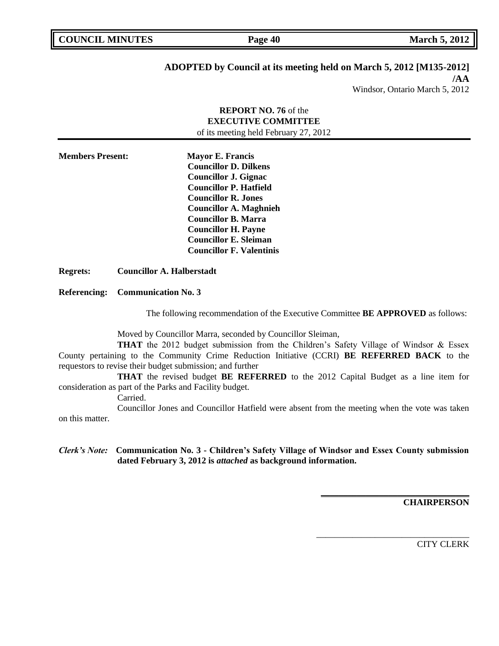| <b>COUNCIL MINUTES</b> |  |
|------------------------|--|
|------------------------|--|

**COUNCIL MARCH 5, 2012 Page 40 March 5, 2012** 

# **ADOPTED by Council at its meeting held on March 5, 2012 [M135-2012]**

**/AA**

Windsor, Ontario March 5, 2012

# **REPORT NO. 76** of the **EXECUTIVE COMMITTEE** of its meeting held February 27, 2012 **Members Present: Mayor E. Francis Councillor D. Dilkens Councillor J. Gignac Councillor P. Hatfield Councillor R. Jones Councillor A. Maghnieh Councillor B. Marra Councillor H. Payne Councillor E. Sleiman Councillor F. Valentinis Regrets: Councillor A. Halberstadt**

### **Referencing: Communication No. 3**

The following recommendation of the Executive Committee **BE APPROVED** as follows:

Moved by Councillor Marra, seconded by Councillor Sleiman,

**THAT** the 2012 budget submission from the Children's Safety Village of Windsor & Essex County pertaining to the Community Crime Reduction Initiative (CCRI) **BE REFERRED BACK** to the requestors to revise their budget submission; and further

**THAT** the revised budget **BE REFERRED** to the 2012 Capital Budget as a line item for consideration as part of the Parks and Facility budget.

Carried.

Councillor Jones and Councillor Hatfield were absent from the meeting when the vote was taken on this matter.

## *Clerk's Note:* **Communication No. 3 - Children's Safety Village of Windsor and Essex County submission dated February 3, 2012 is** *attached* **as background information.**

**CHAIRPERSON**

**\_\_\_\_\_\_\_\_\_\_\_\_\_\_\_\_\_\_\_\_\_\_\_\_\_\_\_\_\_\_\_\_\_**

\_\_\_\_\_\_\_\_\_\_\_\_\_\_\_\_\_\_\_\_\_\_\_\_\_\_\_\_\_\_\_\_\_\_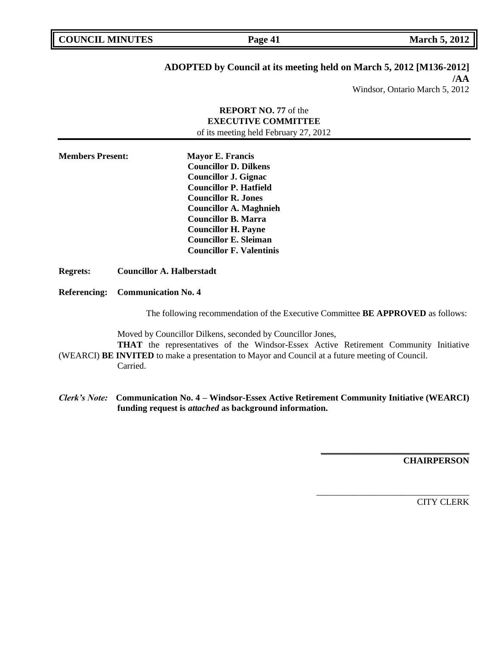|  | <b>COUNCIL MINUTES</b> |  |
|--|------------------------|--|
|--|------------------------|--|

# **ADOPTED by Council at its meeting held on March 5, 2012 [M136-2012]**

**/AA** Windsor, Ontario March 5, 2012

# **REPORT NO. 77** of the **EXECUTIVE COMMITTEE** of its meeting held February 27, 2012 **Members Present: Mayor E. Francis Councillor D. Dilkens Councillor J. Gignac Councillor P. Hatfield Councillor R. Jones Councillor A. Maghnieh Councillor B. Marra Councillor H. Payne Councillor E. Sleiman Councillor F. Valentinis Regrets: Councillor A. Halberstadt Referencing: Communication No. 4** The following recommendation of the Executive Committee **BE APPROVED** as follows: Moved by Councillor Dilkens, seconded by Councillor Jones,

**THAT** the representatives of the Windsor-Essex Active Retirement Community Initiative (WEARCI) **BE INVITED** to make a presentation to Mayor and Council at a future meeting of Council.

Carried.

*Clerk's Note:* **Communication No. 4 – Windsor-Essex Active Retirement Community Initiative (WEARCI) funding request is** *attached* **as background information.**

**CHAIRPERSON**

**\_\_\_\_\_\_\_\_\_\_\_\_\_\_\_\_\_\_\_\_\_\_\_\_\_\_\_\_\_\_\_\_\_**

\_\_\_\_\_\_\_\_\_\_\_\_\_\_\_\_\_\_\_\_\_\_\_\_\_\_\_\_\_\_\_\_\_\_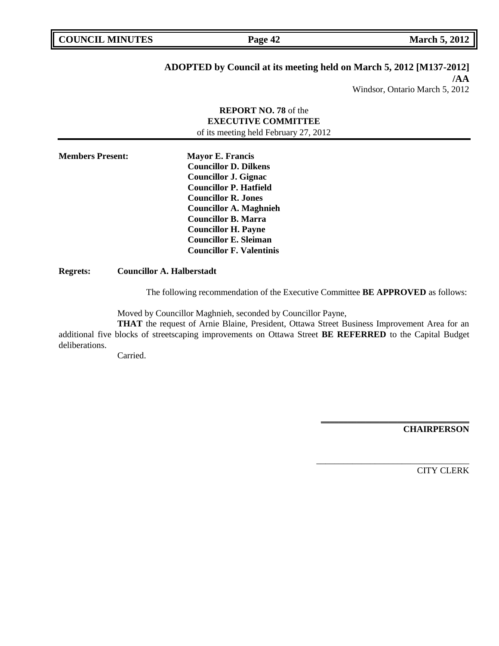# **ADOPTED by Council at its meeting held on March 5, 2012 [M137-2012]**

**/AA** Windsor, Ontario March 5, 2012

## **REPORT NO. 78** of the **EXECUTIVE COMMITTEE** of its meeting held February 27, 2012

**Members Present: Mayor E. Francis Councillor D. Dilkens Councillor J. Gignac Councillor P. Hatfield Councillor R. Jones Councillor A. Maghnieh Councillor B. Marra Councillor H. Payne Councillor E. Sleiman Councillor F. Valentinis**

## **Regrets: Councillor A. Halberstadt**

The following recommendation of the Executive Committee **BE APPROVED** as follows:

Moved by Councillor Maghnieh, seconded by Councillor Payne,

**THAT** the request of Arnie Blaine, President, Ottawa Street Business Improvement Area for an additional five blocks of streetscaping improvements on Ottawa Street **BE REFERRED** to the Capital Budget deliberations.

Carried.

**CHAIRPERSON**

**\_\_\_\_\_\_\_\_\_\_\_\_\_\_\_\_\_\_\_\_\_\_\_\_\_\_\_\_\_\_\_\_\_**

\_\_\_\_\_\_\_\_\_\_\_\_\_\_\_\_\_\_\_\_\_\_\_\_\_\_\_\_\_\_\_\_\_\_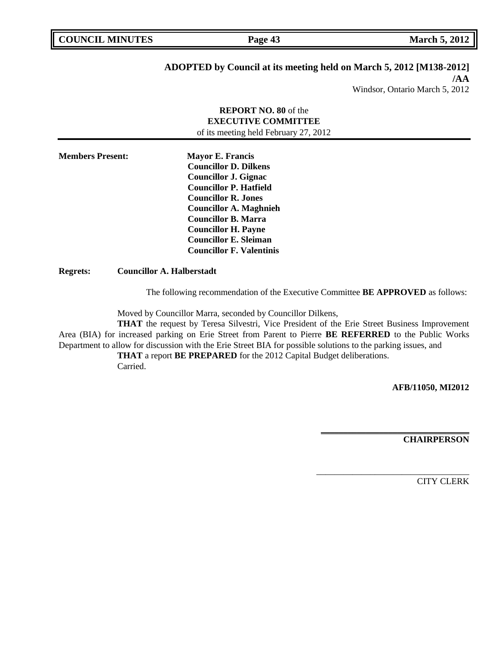## **ADOPTED by Council at its meeting held on March 5, 2012 [M138-2012]**

**/AA** Windsor, Ontario March 5, 2012

# **REPORT NO. 80** of the **EXECUTIVE COMMITTEE** of its meeting held February 27, 2012 **Members Present: Mayor E. Francis Councillor D. Dilkens Councillor J. Gignac Councillor P. Hatfield Councillor R. Jones Councillor A. Maghnieh Councillor B. Marra Councillor H. Payne Councillor E. Sleiman Councillor F. Valentinis**

### **Regrets: Councillor A. Halberstadt**

The following recommendation of the Executive Committee **BE APPROVED** as follows:

Moved by Councillor Marra, seconded by Councillor Dilkens,

**THAT** the request by Teresa Silvestri, Vice President of the Erie Street Business Improvement Area (BIA) for increased parking on Erie Street from Parent to Pierre **BE REFERRED** to the Public Works Department to allow for discussion with the Erie Street BIA for possible solutions to the parking issues, and

**THAT** a report **BE PREPARED** for the 2012 Capital Budget deliberations. Carried.

**AFB/11050, MI2012**

**CHAIRPERSON**

**\_\_\_\_\_\_\_\_\_\_\_\_\_\_\_\_\_\_\_\_\_\_\_\_\_\_\_\_\_\_\_\_\_**

\_\_\_\_\_\_\_\_\_\_\_\_\_\_\_\_\_\_\_\_\_\_\_\_\_\_\_\_\_\_\_\_\_\_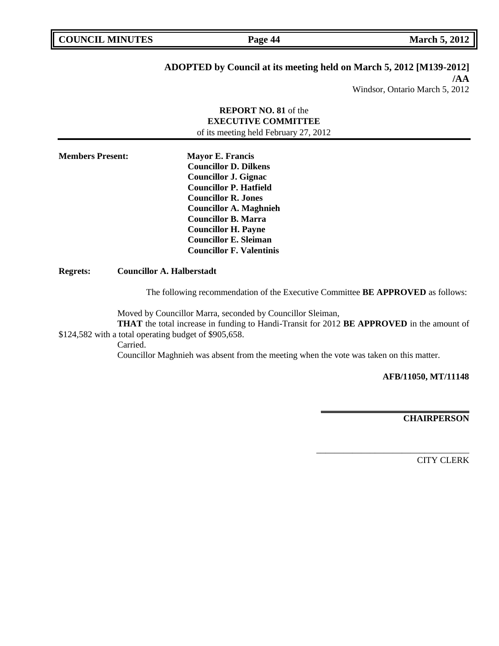| <b>COUNCIL MINUTES</b> |  |
|------------------------|--|
|------------------------|--|

**COUNCIL MARCH 5, 2012 Page 44 March 5, 2012** 

# **ADOPTED by Council at its meeting held on March 5, 2012 [M139-2012]**

**/AA** Windsor, Ontario March 5, 2012

## **REPORT NO. 81** of the **EXECUTIVE COMMITTEE** of its meeting held February 27, 2012

**Members Present: Mayor E. Francis Councillor D. Dilkens Councillor J. Gignac Councillor P. Hatfield Councillor R. Jones Councillor A. Maghnieh Councillor B. Marra Councillor H. Payne Councillor E. Sleiman Councillor F. Valentinis**

## **Regrets: Councillor A. Halberstadt**

The following recommendation of the Executive Committee **BE APPROVED** as follows:

Moved by Councillor Marra, seconded by Councillor Sleiman,

**THAT** the total increase in funding to Handi-Transit for 2012 **BE APPROVED** in the amount of \$124,582 with a total operating budget of \$905,658.

Carried.

Councillor Maghnieh was absent from the meeting when the vote was taken on this matter.

**AFB/11050, MT/11148**

**\_\_\_\_\_\_\_\_\_\_\_\_\_\_\_\_\_\_\_\_\_\_\_\_\_\_\_\_\_\_\_\_\_**

\_\_\_\_\_\_\_\_\_\_\_\_\_\_\_\_\_\_\_\_\_\_\_\_\_\_\_\_\_\_\_\_\_\_

**CHAIRPERSON**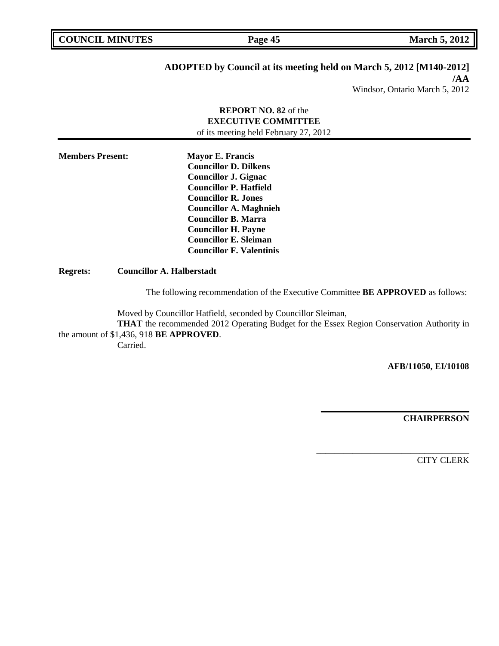| <b>COUNCIL MINUTES</b> |  |
|------------------------|--|
|------------------------|--|

# **ADOPTED by Council at its meeting held on March 5, 2012 [M140-2012]**

**/AA** Windsor, Ontario March 5, 2012

# **REPORT NO. 82** of the **EXECUTIVE COMMITTEE**

of its meeting held February 27, 2012

**Members Present: Mayor E. Francis Councillor D. Dilkens Councillor J. Gignac Councillor P. Hatfield Councillor R. Jones Councillor A. Maghnieh Councillor B. Marra Councillor H. Payne Councillor E. Sleiman Councillor F. Valentinis**

**Regrets: Councillor A. Halberstadt**

The following recommendation of the Executive Committee **BE APPROVED** as follows:

Moved by Councillor Hatfield, seconded by Councillor Sleiman,

**THAT** the recommended 2012 Operating Budget for the Essex Region Conservation Authority in the amount of \$1,436, 918 **BE APPROVED**.

Carried.

### **AFB/11050, EI/10108**

**\_\_\_\_\_\_\_\_\_\_\_\_\_\_\_\_\_\_\_\_\_\_\_\_\_\_\_\_\_\_\_\_\_**

\_\_\_\_\_\_\_\_\_\_\_\_\_\_\_\_\_\_\_\_\_\_\_\_\_\_\_\_\_\_\_\_\_\_

**CHAIRPERSON**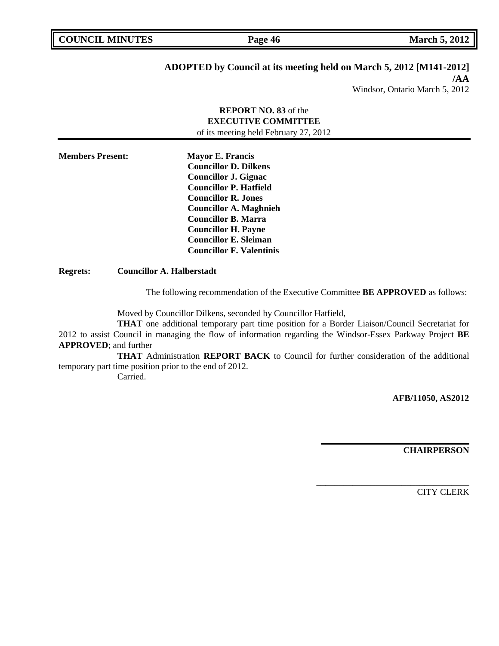| <b>COUNCIL MINUTES</b> |  |
|------------------------|--|
|------------------------|--|

**COUNCIL MARCH 5, 2012 Page 46 March 5, 2012** 

# **ADOPTED by Council at its meeting held on March 5, 2012 [M141-2012]**

**/AA**

Windsor, Ontario March 5, 2012

## **REPORT NO. 83** of the **EXECUTIVE COMMITTEE** of its meeting held February 27, 2012

**Members Present: Mayor E. Francis Councillor D. Dilkens Councillor J. Gignac Councillor P. Hatfield Councillor R. Jones Councillor A. Maghnieh Councillor B. Marra Councillor H. Payne Councillor E. Sleiman Councillor F. Valentinis**

**Regrets: Councillor A. Halberstadt**

The following recommendation of the Executive Committee **BE APPROVED** as follows:

Moved by Councillor Dilkens, seconded by Councillor Hatfield,

**THAT** one additional temporary part time position for a Border Liaison/Council Secretariat for 2012 to assist Council in managing the flow of information regarding the Windsor-Essex Parkway Project **BE APPROVED**; and further

**THAT** Administration **REPORT BACK** to Council for further consideration of the additional temporary part time position prior to the end of 2012.

Carried.

**AFB/11050, AS2012**

**CHAIRPERSON**

**\_\_\_\_\_\_\_\_\_\_\_\_\_\_\_\_\_\_\_\_\_\_\_\_\_\_\_\_\_\_\_\_\_**

\_\_\_\_\_\_\_\_\_\_\_\_\_\_\_\_\_\_\_\_\_\_\_\_\_\_\_\_\_\_\_\_\_\_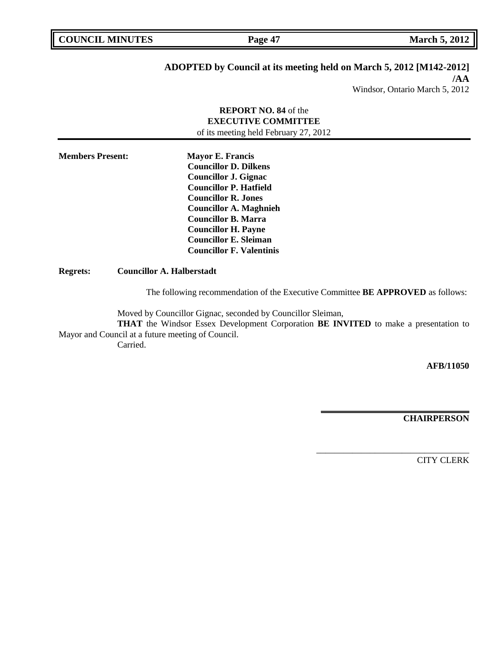| <b>COUNCIL MINUTES</b> |  |
|------------------------|--|
|------------------------|--|

# **ADOPTED by Council at its meeting held on March 5, 2012 [M142-2012]**

**/AA** Windsor, Ontario March 5, 2012

## **REPORT NO. 84** of the **EXECUTIVE COMMITTEE** of its meeting held February 27, 2012

**Members Present: Mayor E. Francis Councillor D. Dilkens Councillor J. Gignac Councillor P. Hatfield Councillor R. Jones Councillor A. Maghnieh Councillor B. Marra Councillor H. Payne Councillor E. Sleiman Councillor F. Valentinis**

**Regrets: Councillor A. Halberstadt**

The following recommendation of the Executive Committee **BE APPROVED** as follows:

Moved by Councillor Gignac, seconded by Councillor Sleiman,

**THAT** the Windsor Essex Development Corporation **BE INVITED** to make a presentation to Mayor and Council at a future meeting of Council. Carried.

**AFB/11050**

**CHAIRPERSON**

**\_\_\_\_\_\_\_\_\_\_\_\_\_\_\_\_\_\_\_\_\_\_\_\_\_\_\_\_\_\_\_\_\_**

\_\_\_\_\_\_\_\_\_\_\_\_\_\_\_\_\_\_\_\_\_\_\_\_\_\_\_\_\_\_\_\_\_\_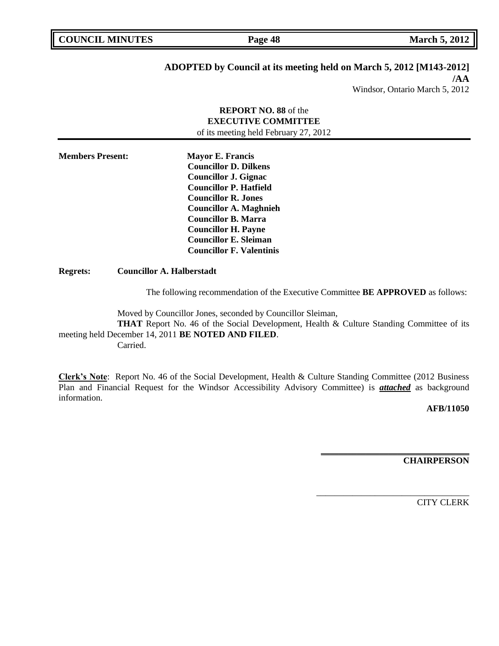| <b>COUNCIL MINUTES</b> |  |
|------------------------|--|
|------------------------|--|

**COUNCIL MARK Page 48 March 5, 2012** 

# **ADOPTED by Council at its meeting held on March 5, 2012 [M143-2012]**

**/AA** Windsor, Ontario March 5, 2012

## **REPORT NO. 88** of the **EXECUTIVE COMMITTEE** of its meeting held February 27, 2012

**Members Present: Mayor E. Francis Councillor D. Dilkens Councillor J. Gignac Councillor P. Hatfield Councillor R. Jones Councillor A. Maghnieh Councillor B. Marra Councillor H. Payne Councillor E. Sleiman Councillor F. Valentinis**

**Regrets: Councillor A. Halberstadt**

The following recommendation of the Executive Committee **BE APPROVED** as follows:

Moved by Councillor Jones, seconded by Councillor Sleiman,

**THAT** Report No. 46 of the Social Development, Health & Culture Standing Committee of its meeting held December 14, 2011 **BE NOTED AND FILED**.

Carried.

**Clerk's Note**: Report No. 46 of the Social Development, Health & Culture Standing Committee (2012 Business Plan and Financial Request for the Windsor Accessibility Advisory Committee) is *attached* as background information.

**AFB/11050**

**CHAIRPERSON**

**\_\_\_\_\_\_\_\_\_\_\_\_\_\_\_\_\_\_\_\_\_\_\_\_\_\_\_\_\_\_\_\_\_**

\_\_\_\_\_\_\_\_\_\_\_\_\_\_\_\_\_\_\_\_\_\_\_\_\_\_\_\_\_\_\_\_\_\_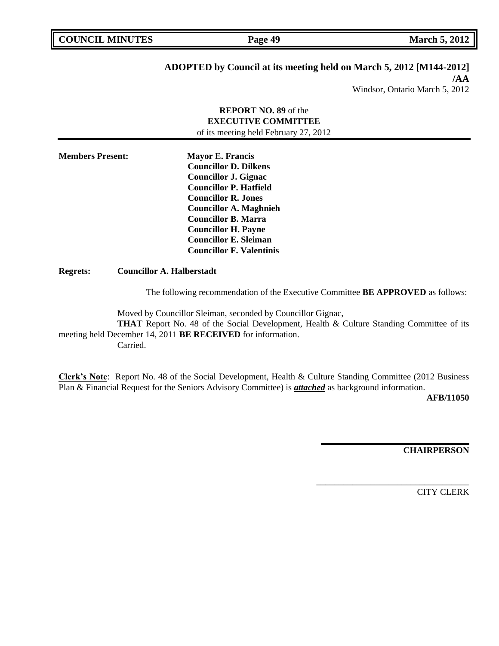**COUNCIL MINUTES Page 49 March 5, 2012** 

# **ADOPTED by Council at its meeting held on March 5, 2012 [M144-2012]**

**/AA**

Windsor, Ontario March 5, 2012

## **REPORT NO. 89** of the **EXECUTIVE COMMITTEE** of its meeting held February 27, 2012

**Members Present: Mayor E. Francis Councillor D. Dilkens Councillor J. Gignac Councillor P. Hatfield Councillor R. Jones Councillor A. Maghnieh Councillor B. Marra Councillor H. Payne Councillor E. Sleiman Councillor F. Valentinis**

**Regrets: Councillor A. Halberstadt**

The following recommendation of the Executive Committee **BE APPROVED** as follows:

Moved by Councillor Sleiman, seconded by Councillor Gignac,

**THAT** Report No. 48 of the Social Development, Health & Culture Standing Committee of its meeting held December 14, 2011 **BE RECEIVED** for information. Carried.

**Clerk's Note**: Report No. 48 of the Social Development, Health & Culture Standing Committee (2012 Business Plan & Financial Request for the Seniors Advisory Committee) is *attached* as background information.

**AFB/11050**

**CHAIRPERSON**

**\_\_\_\_\_\_\_\_\_\_\_\_\_\_\_\_\_\_\_\_\_\_\_\_\_\_\_\_\_\_\_\_\_**

\_\_\_\_\_\_\_\_\_\_\_\_\_\_\_\_\_\_\_\_\_\_\_\_\_\_\_\_\_\_\_\_\_\_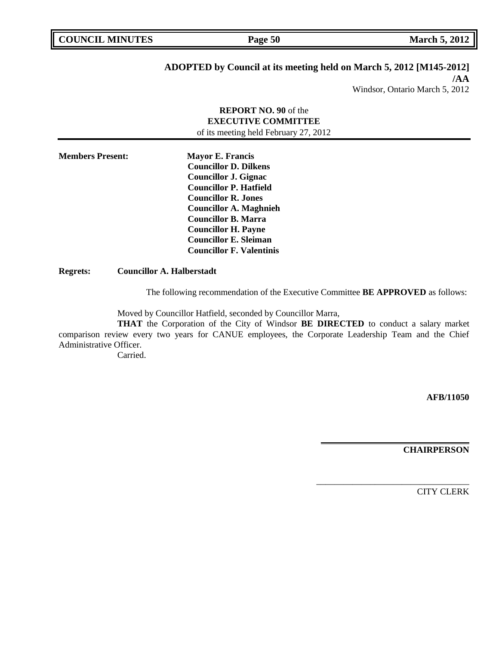| <b>COUNCIL MINUTES</b> |  |
|------------------------|--|
|------------------------|--|

**COUNCIL MARCH 5, 2012 Page 50** 

# **ADOPTED by Council at its meeting held on March 5, 2012 [M145-2012]**

**/AA** Windsor, Ontario March 5, 2012

## **REPORT NO. 90** of the **EXECUTIVE COMMITTEE** of its meeting held February 27, 2012

**Members Present: Mayor E. Francis Councillor D. Dilkens Councillor J. Gignac Councillor P. Hatfield Councillor R. Jones Councillor A. Maghnieh Councillor B. Marra Councillor H. Payne Councillor E. Sleiman Councillor F. Valentinis**

**Regrets: Councillor A. Halberstadt**

The following recommendation of the Executive Committee **BE APPROVED** as follows:

Moved by Councillor Hatfield, seconded by Councillor Marra,

**THAT** the Corporation of the City of Windsor **BE DIRECTED** to conduct a salary market comparison review every two years for CANUE employees, the Corporate Leadership Team and the Chief Administrative Officer.

Carried.

**AFB/11050**

**CHAIRPERSON**

**\_\_\_\_\_\_\_\_\_\_\_\_\_\_\_\_\_\_\_\_\_\_\_\_\_\_\_\_\_\_\_\_\_**

\_\_\_\_\_\_\_\_\_\_\_\_\_\_\_\_\_\_\_\_\_\_\_\_\_\_\_\_\_\_\_\_\_\_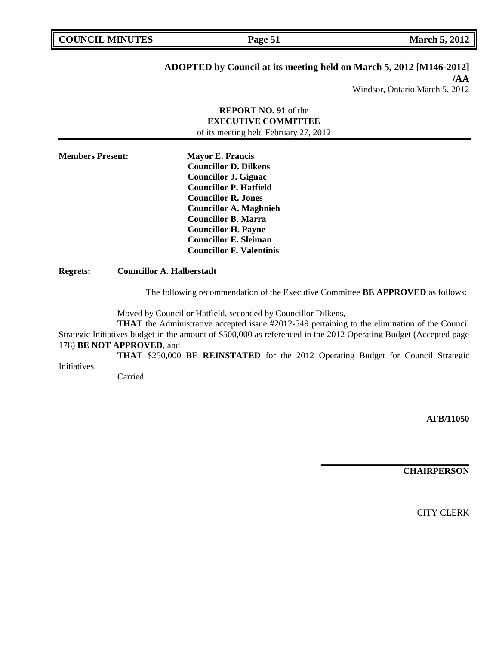# **ADOPTED by Council at its meeting held on March 5, 2012 [M146-2012]**

**/AA** Windsor, Ontario March 5, 2012

# **REPORT NO. 91** of the **EXECUTIVE COMMITTEE** of its meeting held February 27, 2012

**Members Present: Mayor E. Francis Councillor D. Dilkens Councillor J. Gignac Councillor P. Hatfield Councillor R. Jones Councillor A. Maghnieh Councillor B. Marra Councillor H. Payne Councillor E. Sleiman Councillor F. Valentinis**

**Regrets: Councillor A. Halberstadt**

The following recommendation of the Executive Committee **BE APPROVED** as follows:

Moved by Councillor Hatfield, seconded by Councillor Dilkens,

**THAT** the Administrative accepted issue #2012-549 pertaining to the elimination of the Council Strategic Initiatives budget in the amount of \$500,000 as referenced in the 2012 Operating Budget (Accepted page 178) **BE NOT APPROVED**, and

**THAT** \$250,000 **BE REINSTATED** for the 2012 Operating Budget for Council Strategic Initiatives.

Carried.

**AFB/11050**

**CHAIRPERSON**

**\_\_\_\_\_\_\_\_\_\_\_\_\_\_\_\_\_\_\_\_\_\_\_\_\_\_\_\_\_\_\_\_\_**

\_\_\_\_\_\_\_\_\_\_\_\_\_\_\_\_\_\_\_\_\_\_\_\_\_\_\_\_\_\_\_\_\_\_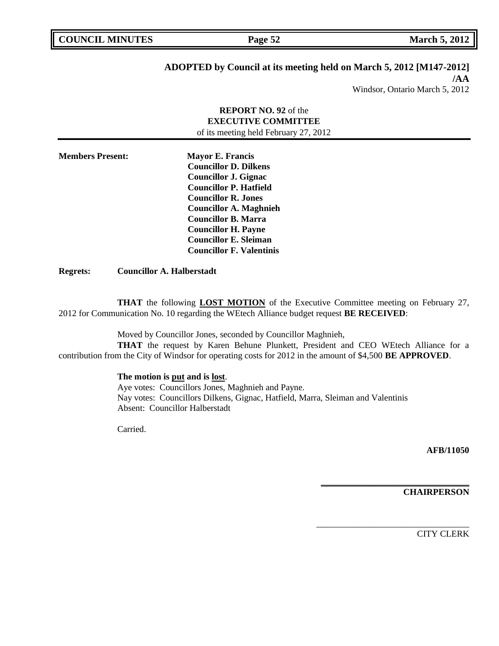# **ADOPTED by Council at its meeting held on March 5, 2012 [M147-2012]**

**/AA**

# Windsor, Ontario March 5, 2012

## **REPORT NO. 92** of the **EXECUTIVE COMMITTEE** of its meeting held February 27, 2012

| <b>Members Present:</b> | <b>Mayor E. Francis</b>         |
|-------------------------|---------------------------------|
|                         | <b>Councillor D. Dilkens</b>    |
|                         | <b>Councillor J. Gignac</b>     |
|                         | <b>Councillor P. Hatfield</b>   |
|                         | <b>Councillor R. Jones</b>      |
|                         | <b>Councillor A. Maghnieh</b>   |
|                         | <b>Councillor B. Marra</b>      |
|                         | <b>Councillor H. Payne</b>      |
|                         | <b>Councillor E. Sleiman</b>    |
|                         | <b>Councillor F. Valentinis</b> |

**Regrets: Councillor A. Halberstadt**

**THAT** the following **LOST MOTION** of the Executive Committee meeting on February 27, 2012 for Communication No. 10 regarding the WEtech Alliance budget request **BE RECEIVED**:

Moved by Councillor Jones, seconded by Councillor Maghnieh,

**THAT** the request by Karen Behune Plunkett, President and CEO WEtech Alliance for a contribution from the City of Windsor for operating costs for 2012 in the amount of \$4,500 **BE APPROVED**.

## **The motion is put and is lost**.

Aye votes: Councillors Jones, Maghnieh and Payne. Nay votes: Councillors Dilkens, Gignac, Hatfield, Marra, Sleiman and Valentinis Absent: Councillor Halberstadt

Carried.

**AFB/11050**

**CHAIRPERSON**

**\_\_\_\_\_\_\_\_\_\_\_\_\_\_\_\_\_\_\_\_\_\_\_\_\_\_\_\_\_\_\_\_\_**

\_\_\_\_\_\_\_\_\_\_\_\_\_\_\_\_\_\_\_\_\_\_\_\_\_\_\_\_\_\_\_\_\_\_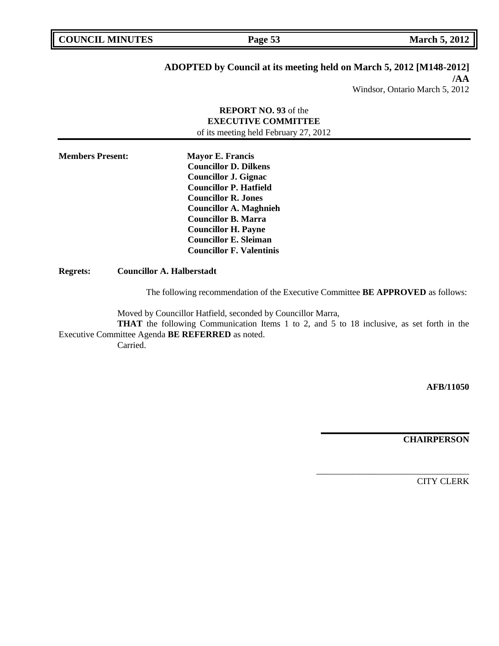# **ADOPTED by Council at its meeting held on March 5, 2012 [M148-2012]**

**/AA**

# Windsor, Ontario March 5, 2012

## **REPORT NO. 93** of the **EXECUTIVE COMMITTEE** of its meeting held February 27, 2012

**Members Present: Mayor E. Francis Councillor D. Dilkens Councillor J. Gignac Councillor P. Hatfield Councillor R. Jones Councillor A. Maghnieh Councillor B. Marra Councillor H. Payne Councillor E. Sleiman Councillor F. Valentinis**

**Regrets: Councillor A. Halberstadt**

The following recommendation of the Executive Committee **BE APPROVED** as follows:

Moved by Councillor Hatfield, seconded by Councillor Marra,

**THAT** the following Communication Items 1 to 2, and 5 to 18 inclusive, as set forth in the Executive Committee Agenda **BE REFERRED** as noted.

Carried.

**AFB/11050**

**CHAIRPERSON**

**\_\_\_\_\_\_\_\_\_\_\_\_\_\_\_\_\_\_\_\_\_\_\_\_\_\_\_\_\_\_\_\_\_**

\_\_\_\_\_\_\_\_\_\_\_\_\_\_\_\_\_\_\_\_\_\_\_\_\_\_\_\_\_\_\_\_\_\_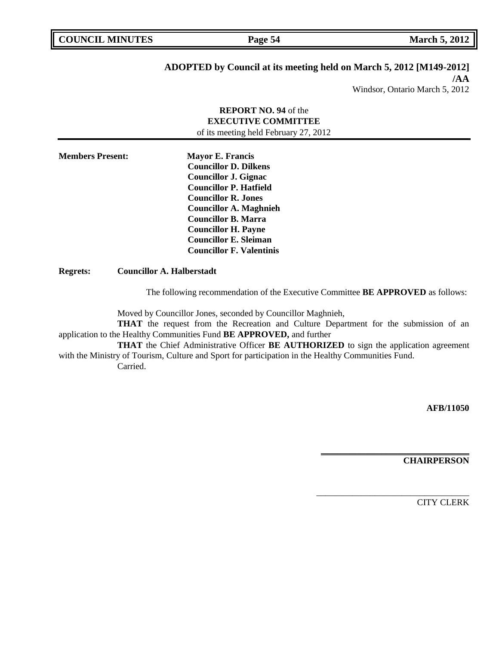**COUNCIL MARCH 5, 2012 Page 54 March 5, 2012** 

# **ADOPTED by Council at its meeting held on March 5, 2012 [M149-2012]**

**/AA**

Windsor, Ontario March 5, 2012

## **REPORT NO. 94** of the **EXECUTIVE COMMITTEE** of its meeting held February 27, 2012

**Members Present: Mayor E. Francis Councillor D. Dilkens Councillor J. Gignac Councillor P. Hatfield Councillor R. Jones Councillor A. Maghnieh Councillor B. Marra Councillor H. Payne Councillor E. Sleiman Councillor F. Valentinis**

**Regrets: Councillor A. Halberstadt**

The following recommendation of the Executive Committee **BE APPROVED** as follows:

Moved by Councillor Jones, seconded by Councillor Maghnieh,

**THAT** the request from the Recreation and Culture Department for the submission of an application to the Healthy Communities Fund **BE APPROVED,** and further

**THAT** the Chief Administrative Officer **BE AUTHORIZED** to sign the application agreement with the Ministry of Tourism, Culture and Sport for participation in the Healthy Communities Fund. Carried.

**AFB/11050**

**CHAIRPERSON**

**\_\_\_\_\_\_\_\_\_\_\_\_\_\_\_\_\_\_\_\_\_\_\_\_\_\_\_\_\_\_\_\_\_**

\_\_\_\_\_\_\_\_\_\_\_\_\_\_\_\_\_\_\_\_\_\_\_\_\_\_\_\_\_\_\_\_\_\_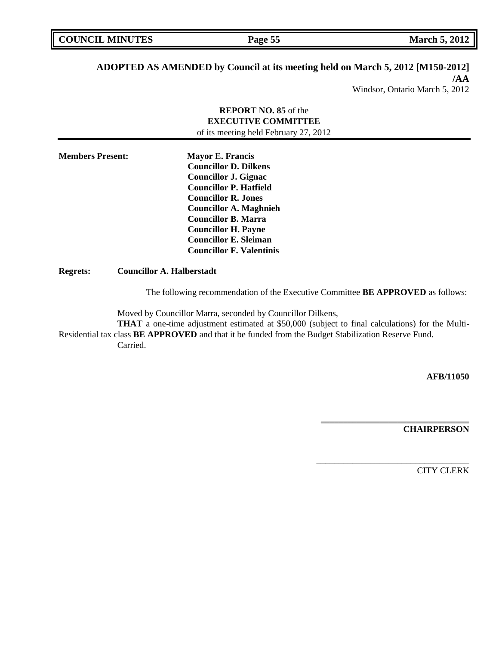**COUNCIL MINUTES Page 55 March 5, 2012** 

# **ADOPTED AS AMENDED by Council at its meeting held on March 5, 2012 [M150-2012]**

**/AA** Windsor, Ontario March 5, 2012

# **REPORT NO. 85** of the **EXECUTIVE COMMITTEE** of its meeting held February 27, 2012

| <b>Members Present:</b> | <b>Mayor E. Francis</b>         |
|-------------------------|---------------------------------|
|                         | <b>Councillor D. Dilkens</b>    |
|                         | <b>Councillor J. Gignac</b>     |
|                         | <b>Councillor P. Hatfield</b>   |
|                         | <b>Councillor R. Jones</b>      |
|                         | <b>Councillor A. Maghnieh</b>   |
|                         | <b>Councillor B. Marra</b>      |
|                         | <b>Councillor H. Payne</b>      |
|                         | <b>Councillor E. Sleiman</b>    |
|                         | <b>Councillor F. Valentinis</b> |

**Regrets: Councillor A. Halberstadt**

The following recommendation of the Executive Committee **BE APPROVED** as follows:

Moved by Councillor Marra, seconded by Councillor Dilkens,

**THAT** a one-time adjustment estimated at \$50,000 (subject to final calculations) for the Multi-Residential tax class **BE APPROVED** and that it be funded from the Budget Stabilization Reserve Fund. Carried.

**AFB/11050**

**CHAIRPERSON**

**\_\_\_\_\_\_\_\_\_\_\_\_\_\_\_\_\_\_\_\_\_\_\_\_\_\_\_\_\_\_\_\_\_**

\_\_\_\_\_\_\_\_\_\_\_\_\_\_\_\_\_\_\_\_\_\_\_\_\_\_\_\_\_\_\_\_\_\_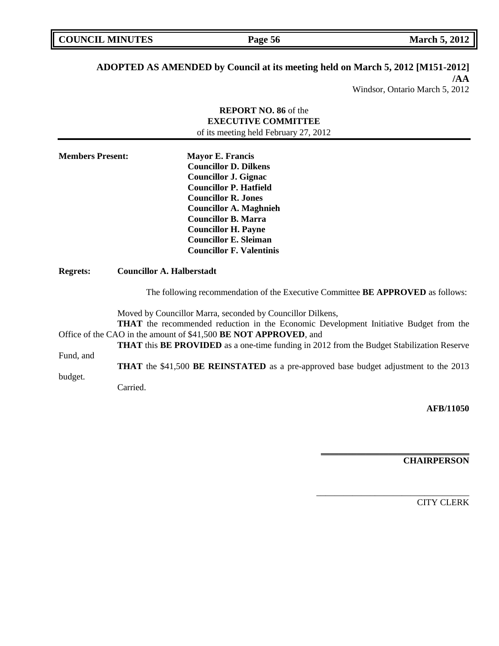**COUNCIL MARCH 5, 2012 Page 56 March 5, 2012** 

# **ADOPTED AS AMENDED by Council at its meeting held on March 5, 2012 [M151-2012]**

**/AA**

Windsor, Ontario March 5, 2012

|                         | <b>REPORT NO. 86 of the</b>                                                                             |
|-------------------------|---------------------------------------------------------------------------------------------------------|
|                         | <b>EXECUTIVE COMMITTEE</b>                                                                              |
|                         | of its meeting held February 27, 2012                                                                   |
| <b>Members Present:</b> | <b>Mayor E. Francis</b>                                                                                 |
|                         | <b>Councillor D. Dilkens</b>                                                                            |
|                         | <b>Councillor J. Gignac</b>                                                                             |
|                         | <b>Councillor P. Hatfield</b>                                                                           |
|                         | <b>Councillor R. Jones</b>                                                                              |
|                         | <b>Councillor A. Maghnieh</b>                                                                           |
|                         | <b>Councillor B. Marra</b>                                                                              |
|                         | <b>Councillor H. Payne</b><br><b>Councillor E. Sleiman</b>                                              |
|                         | <b>Councillor F. Valentinis</b>                                                                         |
|                         |                                                                                                         |
| <b>Regrets:</b>         | <b>Councillor A. Halberstadt</b>                                                                        |
|                         | The following recommendation of the Executive Committee BE APPROVED as follows:                         |
|                         | Moved by Councillor Marra, seconded by Councillor Dilkens,                                              |
|                         | <b>THAT</b> the recommended reduction in the Economic Development Initiative Budget from the            |
|                         | Office of the CAO in the amount of \$41,500 BE NOT APPROVED, and                                        |
|                         | <b>THAT</b> this <b>BE PROVIDED</b> as a one-time funding in 2012 from the Budget Stabilization Reserve |
| Fund, and               |                                                                                                         |
| budget.                 | THAT the \$41,500 BE REINSTATED as a pre-approved base budget adjustment to the 2013                    |
|                         | Carried.                                                                                                |
|                         |                                                                                                         |

**AFB/11050**

**CHAIRPERSON**

**\_\_\_\_\_\_\_\_\_\_\_\_\_\_\_\_\_\_\_\_\_\_\_\_\_\_\_\_\_\_\_\_\_**

\_\_\_\_\_\_\_\_\_\_\_\_\_\_\_\_\_\_\_\_\_\_\_\_\_\_\_\_\_\_\_\_\_\_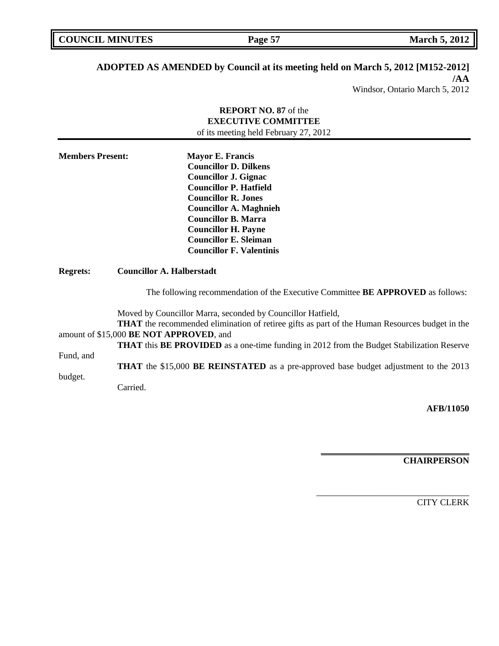**COUNCIL MINUTES Page 57 March 5, 2012** 

# **ADOPTED AS AMENDED by Council at its meeting held on March 5, 2012 [M152-2012]**

**/AA** Windsor, Ontario March 5, 2012

|                         | <b>REPORT NO. 87</b> of the                                                                                                                                                                                                                                                                                                                                                                                                                  |
|-------------------------|----------------------------------------------------------------------------------------------------------------------------------------------------------------------------------------------------------------------------------------------------------------------------------------------------------------------------------------------------------------------------------------------------------------------------------------------|
|                         | <b>EXECUTIVE COMMITTEE</b>                                                                                                                                                                                                                                                                                                                                                                                                                   |
|                         | of its meeting held February 27, 2012                                                                                                                                                                                                                                                                                                                                                                                                        |
| <b>Members Present:</b> | <b>Mayor E. Francis</b><br><b>Councillor D. Dilkens</b><br><b>Councillor J. Gignac</b><br><b>Councillor P. Hatfield</b><br><b>Councillor R. Jones</b><br><b>Councillor A. Maghnieh</b><br><b>Councillor B. Marra</b><br><b>Councillor H. Payne</b><br><b>Councillor E. Sleiman</b><br><b>Councillor F. Valentinis</b>                                                                                                                        |
| <b>Regrets:</b>         | <b>Councillor A. Halberstadt</b>                                                                                                                                                                                                                                                                                                                                                                                                             |
|                         | The following recommendation of the Executive Committee BE APPROVED as follows:                                                                                                                                                                                                                                                                                                                                                              |
| Fund, and<br>budget.    | Moved by Councillor Marra, seconded by Councillor Hatfield,<br><b>THAT</b> the recommended elimination of retiree gifts as part of the Human Resources budget in the<br>amount of \$15,000 BE NOT APPROVED, and<br><b>THAT</b> this <b>BE PROVIDED</b> as a one-time funding in 2012 from the Budget Stabilization Reserve<br><b>THAT</b> the \$15,000 <b>BE REINSTATED</b> as a pre-approved base budget adjustment to the 2013<br>Carried. |
|                         |                                                                                                                                                                                                                                                                                                                                                                                                                                              |

**AFB/11050**

**CHAIRPERSON**

**\_\_\_\_\_\_\_\_\_\_\_\_\_\_\_\_\_\_\_\_\_\_\_\_\_\_\_\_\_\_\_\_\_**

\_\_\_\_\_\_\_\_\_\_\_\_\_\_\_\_\_\_\_\_\_\_\_\_\_\_\_\_\_\_\_\_\_\_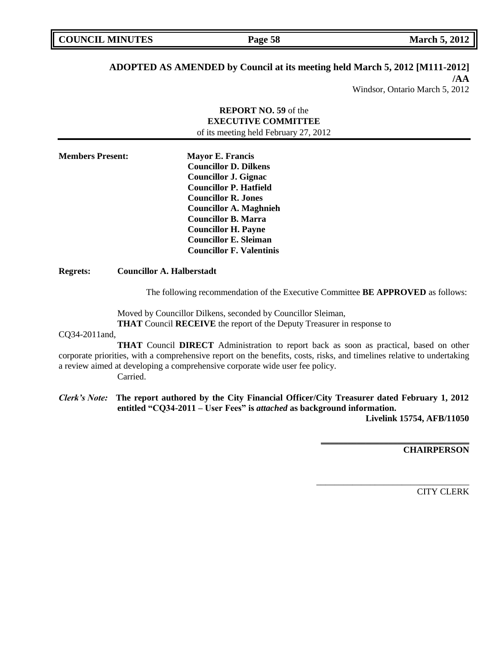**Page 58 March 5, 2012** 

## **ADOPTED AS AMENDED by Council at its meeting held March 5, 2012 [M111-2012]**

**/AA**

Windsor, Ontario March 5, 2012

## **REPORT NO. 59** of the **EXECUTIVE COMMITTEE** of its meeting held February 27, 2012

| <b>Members Present:</b> | <b>Mayor E. Francis</b>         |
|-------------------------|---------------------------------|
|                         | <b>Councillor D. Dilkens</b>    |
|                         | <b>Councillor J. Gignac</b>     |
|                         | <b>Councillor P. Hatfield</b>   |
|                         | <b>Councillor R. Jones</b>      |
|                         | <b>Councillor A. Maghnieh</b>   |
|                         | <b>Councillor B. Marra</b>      |
|                         | <b>Councillor H. Payne</b>      |
|                         | <b>Councillor E. Sleiman</b>    |
|                         | <b>Councillor F. Valentinis</b> |

### **Regrets: Councillor A. Halberstadt**

The following recommendation of the Executive Committee **BE APPROVED** as follows:

Moved by Councillor Dilkens, seconded by Councillor Sleiman,

**THAT** Council **RECEIVE** the report of the Deputy Treasurer in response to

## CQ34-2011and,

**THAT** Council **DIRECT** Administration to report back as soon as practical, based on other corporate priorities, with a comprehensive report on the benefits, costs, risks, and timelines relative to undertaking a review aimed at developing a comprehensive corporate wide user fee policy.

Carried.

# *Clerk's Note:* **The report authored by the City Financial Officer/City Treasurer dated February 1, 2012 entitled "CQ34-2011 – User Fees" is** *attached* **as background information.**

**Livelink 15754, AFB/11050**

**\_\_\_\_\_\_\_\_\_\_\_\_\_\_\_\_\_\_\_\_\_\_\_\_\_\_\_\_\_\_\_\_\_**

\_\_\_\_\_\_\_\_\_\_\_\_\_\_\_\_\_\_\_\_\_\_\_\_\_\_\_\_\_\_\_\_\_\_

**CHAIRPERSON**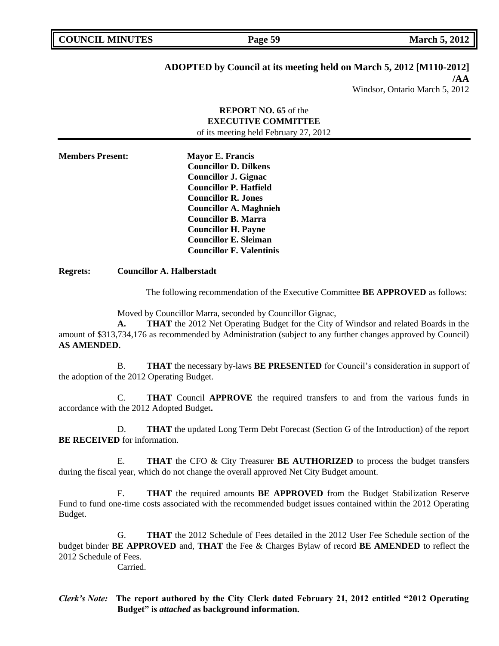**COUNCIL MARK Page 59 March 5, 2012** 

# **ADOPTED by Council at its meeting held on March 5, 2012 [M110-2012]**

**/AA** Windsor, Ontario March 5, 2012

## **REPORT NO. 65** of the **EXECUTIVE COMMITTEE** of its meeting held February 27, 2012

**Members Present: Mayor E. Francis Councillor D. Dilkens Councillor J. Gignac Councillor P. Hatfield Councillor R. Jones Councillor A. Maghnieh Councillor B. Marra Councillor H. Payne Councillor E. Sleiman Councillor F. Valentinis**

**Regrets: Councillor A. Halberstadt**

The following recommendation of the Executive Committee **BE APPROVED** as follows:

Moved by Councillor Marra, seconded by Councillor Gignac,

**A. THAT** the 2012 Net Operating Budget for the City of Windsor and related Boards in the amount of \$313,734,176 as recommended by Administration (subject to any further changes approved by Council) **AS AMENDED.**

B. **THAT** the necessary by-laws **BE PRESENTED** for Council's consideration in support of the adoption of the 2012 Operating Budget.

C. **THAT** Council **APPROVE** the required transfers to and from the various funds in accordance with the 2012 Adopted Budget**.**

D. **THAT** the updated Long Term Debt Forecast (Section G of the Introduction) of the report **BE RECEIVED** for information.

E. **THAT** the CFO & City Treasurer **BE AUTHORIZED** to process the budget transfers during the fiscal year, which do not change the overall approved Net City Budget amount.

F. **THAT** the required amounts **BE APPROVED** from the Budget Stabilization Reserve Fund to fund one-time costs associated with the recommended budget issues contained within the 2012 Operating Budget.

G. **THAT** the 2012 Schedule of Fees detailed in the 2012 User Fee Schedule section of the budget binder **BE APPROVED** and, **THAT** the Fee & Charges Bylaw of record **BE AMENDED** to reflect the 2012 Schedule of Fees.

Carried.

*Clerk's Note:* **The report authored by the City Clerk dated February 21, 2012 entitled "2012 Operating Budget" is** *attached* **as background information.**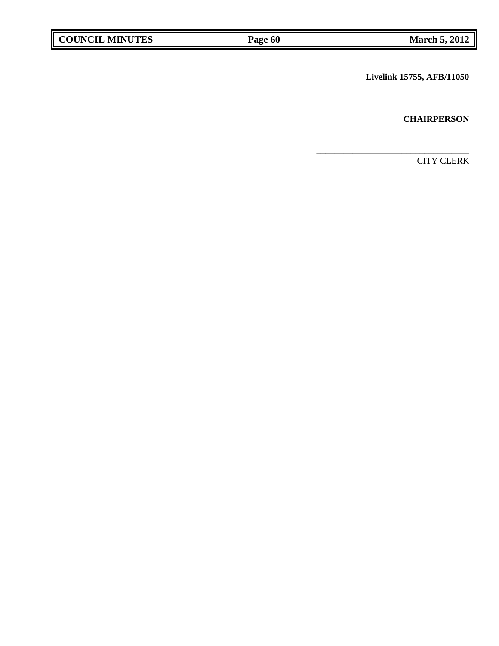**Livelink 15755, AFB/11050**

\_\_\_\_\_\_\_\_\_\_\_\_\_\_\_\_\_\_\_\_\_\_\_\_\_\_\_\_\_\_\_\_\_\_

**\_\_\_\_\_\_\_\_\_\_\_\_\_\_\_\_\_\_\_\_\_\_\_\_\_\_\_\_\_\_\_\_\_ CHAIRPERSON**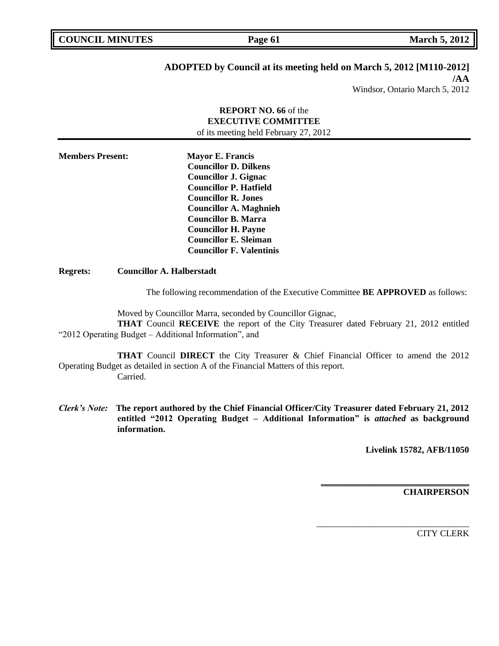| <b>COUNCIL MINUTES</b> |
|------------------------|
|------------------------|

# **ADOPTED by Council at its meeting held on March 5, 2012 [M110-2012]**

**/AA** Windsor, Ontario March 5, 2012

## **REPORT NO. 66** of the **EXECUTIVE COMMITTEE** of its meeting held February 27, 2012

**Members Present: Mayor E. Francis Councillor D. Dilkens Councillor J. Gignac Councillor P. Hatfield Councillor R. Jones Councillor A. Maghnieh Councillor B. Marra Councillor H. Payne Councillor E. Sleiman Councillor F. Valentinis**

## **Regrets: Councillor A. Halberstadt**

The following recommendation of the Executive Committee **BE APPROVED** as follows:

Moved by Councillor Marra, seconded by Councillor Gignac, **THAT** Council **RECEIVE** the report of the City Treasurer dated February 21, 2012 entitled "2012 Operating Budget – Additional Information", and

**THAT** Council **DIRECT** the City Treasurer & Chief Financial Officer to amend the 2012 Operating Budget as detailed in section A of the Financial Matters of this report. Carried.

*Clerk's Note:* **The report authored by the Chief Financial Officer/City Treasurer dated February 21, 2012 entitled "2012 Operating Budget – Additional Information" is** *attached* **as background information.**

**Livelink 15782, AFB/11050**

**\_\_\_\_\_\_\_\_\_\_\_\_\_\_\_\_\_\_\_\_\_\_\_\_\_\_\_\_\_\_\_\_\_**

\_\_\_\_\_\_\_\_\_\_\_\_\_\_\_\_\_\_\_\_\_\_\_\_\_\_\_\_\_\_\_\_\_\_

**CHAIRPERSON**